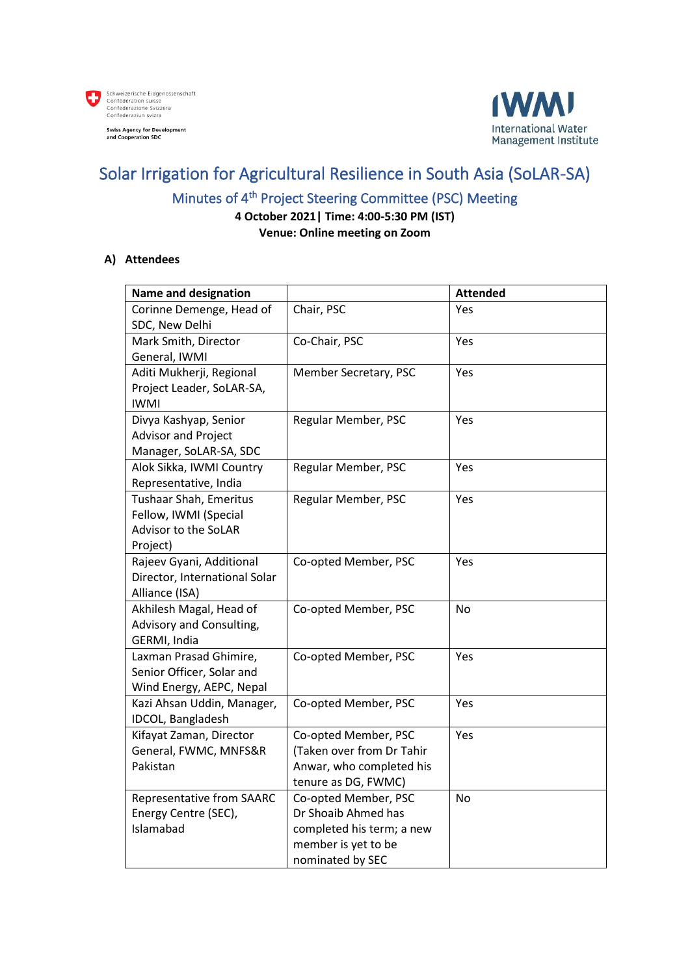



# Solar Irrigation for Agricultural Resilience in South Asia (SoLAR-SA)

### Minutes of 4<sup>th</sup> Project Steering Committee (PSC) Meeting

**4 October 2021| Time: 4:00-5:30 PM (IST)**

**Venue: Online meeting on Zoom**

#### **A) Attendees**

| <b>Name and designation</b>       |                                                  | <b>Attended</b> |
|-----------------------------------|--------------------------------------------------|-----------------|
| Corinne Demenge, Head of          | Chair, PSC                                       | Yes             |
| SDC, New Delhi                    |                                                  |                 |
| Mark Smith, Director              | Co-Chair, PSC                                    | Yes             |
| General, IWMI                     |                                                  |                 |
| Aditi Mukherji, Regional          | Member Secretary, PSC                            | <b>Yes</b>      |
| Project Leader, SoLAR-SA,         |                                                  |                 |
| <b>IWMI</b>                       |                                                  |                 |
| Divya Kashyap, Senior             | Regular Member, PSC                              | Yes             |
| <b>Advisor and Project</b>        |                                                  |                 |
| Manager, SoLAR-SA, SDC            |                                                  |                 |
| Alok Sikka, IWMI Country          | Regular Member, PSC                              | Yes             |
| Representative, India             |                                                  |                 |
| Tushaar Shah, Emeritus            | Regular Member, PSC                              | Yes             |
| Fellow, IWMI (Special             |                                                  |                 |
| Advisor to the SoLAR              |                                                  |                 |
| Project)                          |                                                  |                 |
| Rajeev Gyani, Additional          | Co-opted Member, PSC                             | Yes             |
| Director, International Solar     |                                                  |                 |
| Alliance (ISA)                    |                                                  |                 |
| Akhilesh Magal, Head of           | Co-opted Member, PSC                             | <b>No</b>       |
| Advisory and Consulting,          |                                                  |                 |
| GERMI, India                      |                                                  |                 |
| Laxman Prasad Ghimire,            | Co-opted Member, PSC                             | Yes             |
| Senior Officer, Solar and         |                                                  |                 |
| Wind Energy, AEPC, Nepal          |                                                  |                 |
| Kazi Ahsan Uddin, Manager,        | Co-opted Member, PSC                             | Yes             |
| IDCOL, Bangladesh                 |                                                  |                 |
| Kifayat Zaman, Director           | Co-opted Member, PSC                             | Yes             |
| General, FWMC, MNFS&R             | (Taken over from Dr Tahir                        |                 |
| Pakistan                          | Anwar, who completed his                         |                 |
|                                   | tenure as DG, FWMC)                              | <b>No</b>       |
| Representative from SAARC         | Co-opted Member, PSC                             |                 |
| Energy Centre (SEC),<br>Islamabad | Dr Shoaib Ahmed has<br>completed his term; a new |                 |
|                                   | member is yet to be                              |                 |
|                                   |                                                  |                 |
|                                   | nominated by SEC                                 |                 |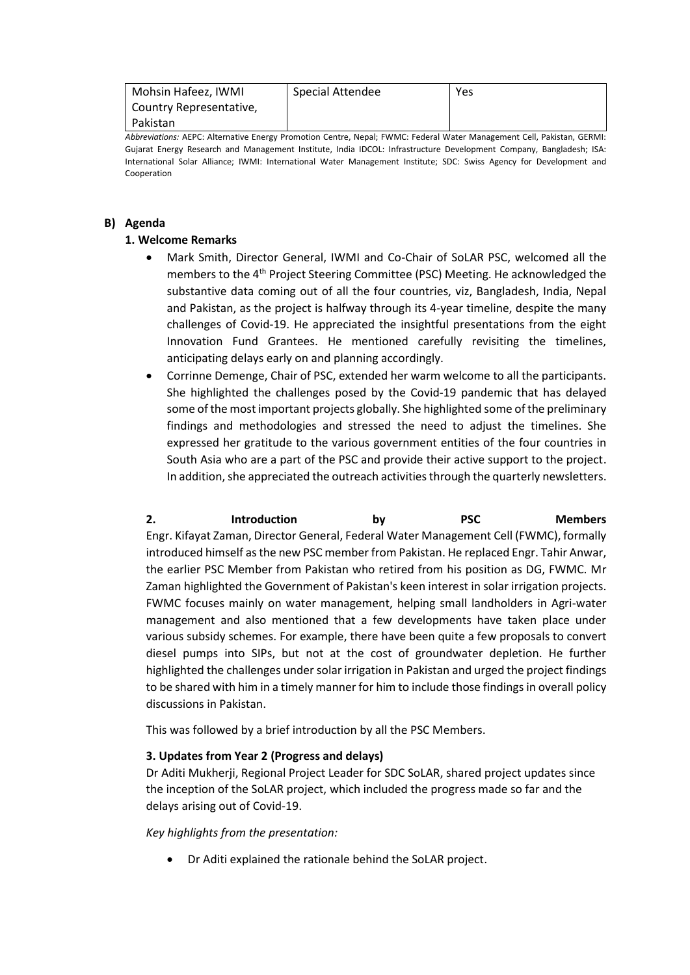| Mohsin Hafeez, IWMI     | Special Attendee | Yes |
|-------------------------|------------------|-----|
| Country Representative, |                  |     |
| Pakistan                |                  |     |

*Abbreviations:* AEPC: Alternative Energy Promotion Centre, Nepal; FWMC: Federal Water Management Cell, Pakistan, GERMI: Gujarat Energy Research and Management Institute, India IDCOL: Infrastructure Development Company, Bangladesh; ISA: International Solar Alliance; IWMI: International Water Management Institute; SDC: Swiss Agency for Development and Cooperation

#### **B) Agenda**

#### **1. Welcome Remarks**

- Mark Smith, Director General, IWMI and Co-Chair of SoLAR PSC, welcomed all the members to the 4th Project Steering Committee (PSC) Meeting. He acknowledged the substantive data coming out of all the four countries, viz, Bangladesh, India, Nepal and Pakistan, as the project is halfway through its 4-year timeline, despite the many challenges of Covid-19. He appreciated the insightful presentations from the eight Innovation Fund Grantees. He mentioned carefully revisiting the timelines, anticipating delays early on and planning accordingly.
- Corrinne Demenge, Chair of PSC, extended her warm welcome to all the participants. She highlighted the challenges posed by the Covid-19 pandemic that has delayed some of the most important projects globally. She highlighted some of the preliminary findings and methodologies and stressed the need to adjust the timelines. She expressed her gratitude to the various government entities of the four countries in South Asia who are a part of the PSC and provide their active support to the project. In addition, she appreciated the outreach activities through the quarterly newsletters.

| 2.                       | <b>Introduction</b>                                                                          | bv | <b>PSC</b> | <b>Members</b> |
|--------------------------|----------------------------------------------------------------------------------------------|----|------------|----------------|
|                          | Engr. Kifayat Zaman, Director General, Federal Water Management Cell (FWMC), formally        |    |            |                |
|                          | introduced himself as the new PSC member from Pakistan. He replaced Engr. Tahir Anwar,       |    |            |                |
|                          | the earlier PSC Member from Pakistan who retired from his position as DG, FWMC. Mr           |    |            |                |
|                          | Zaman highlighted the Government of Pakistan's keen interest in solar irrigation projects.   |    |            |                |
|                          | FWMC focuses mainly on water management, helping small landholders in Agri-water             |    |            |                |
|                          | management and also mentioned that a few developments have taken place under                 |    |            |                |
|                          | various subsidy schemes. For example, there have been quite a few proposals to convert       |    |            |                |
|                          | diesel pumps into SIPs, but not at the cost of groundwater depletion. He further             |    |            |                |
|                          | highlighted the challenges under solar irrigation in Pakistan and urged the project findings |    |            |                |
|                          | to be shared with him in a timely manner for him to include those findings in overall policy |    |            |                |
| discussions in Pakistan. |                                                                                              |    |            |                |

This was followed by a brief introduction by all the PSC Members.

#### **3. Updates from Year 2 (Progress and delays)**

Dr Aditi Mukherji, Regional Project Leader for SDC SoLAR, shared project updates since the inception of the SoLAR project, which included the progress made so far and the delays arising out of Covid-19.

*Key highlights from the presentation:*

• Dr Aditi explained the rationale behind the SoLAR project.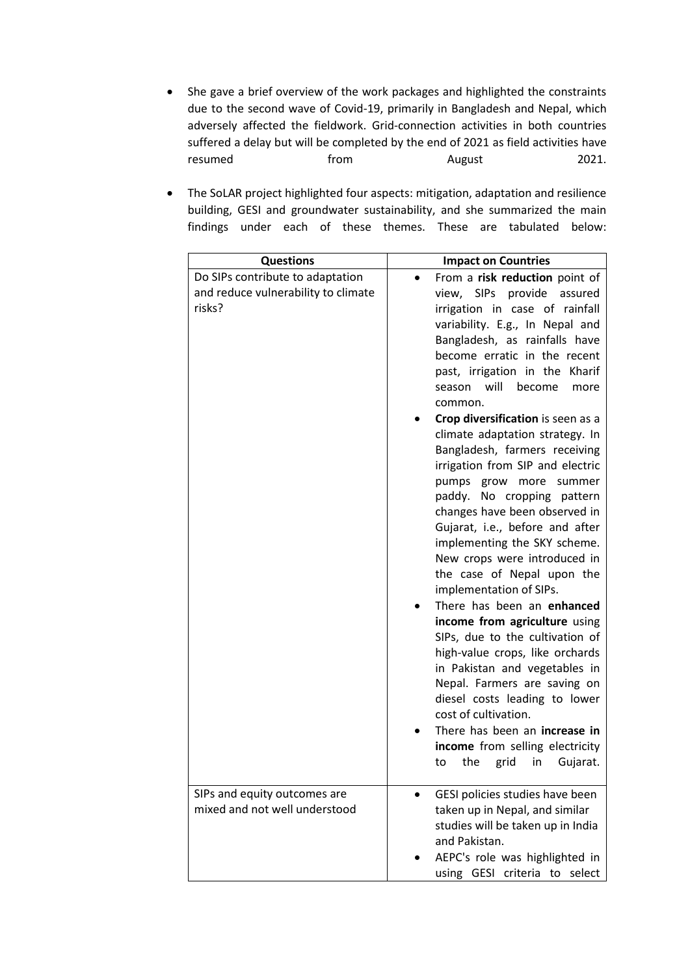- She gave a brief overview of the work packages and highlighted the constraints due to the second wave of Covid-19, primarily in Bangladesh and Nepal, which adversely affected the fieldwork. Grid-connection activities in both countries suffered a delay but will be completed by the end of 2021 as field activities have resumed from hypercontroller and the series and the controller and the controller and the controller and the c
- The SoLAR project highlighted four aspects: mitigation, adaptation and resilience building, GESI and groundwater sustainability, and she summarized the main findings under each of these themes. These are tabulated below:

| <b>Questions</b>                                                                  | <b>Impact on Countries</b>                                                                                                                                                                                                                                                                                                                                                                                                                                                                                                                                                                                                                                                                                                                                                                                                                                                                                                                                                                                                                                               |
|-----------------------------------------------------------------------------------|--------------------------------------------------------------------------------------------------------------------------------------------------------------------------------------------------------------------------------------------------------------------------------------------------------------------------------------------------------------------------------------------------------------------------------------------------------------------------------------------------------------------------------------------------------------------------------------------------------------------------------------------------------------------------------------------------------------------------------------------------------------------------------------------------------------------------------------------------------------------------------------------------------------------------------------------------------------------------------------------------------------------------------------------------------------------------|
| Do SIPs contribute to adaptation<br>and reduce vulnerability to climate<br>risks? | From a risk reduction point of<br>view, SIPs provide<br>assured<br>irrigation in case of rainfall<br>variability. E.g., In Nepal and<br>Bangladesh, as rainfalls have<br>become erratic in the recent<br>past, irrigation in the Kharif<br>will<br>become<br>season<br>more<br>common.<br>Crop diversification is seen as a<br>climate adaptation strategy. In<br>Bangladesh, farmers receiving<br>irrigation from SIP and electric<br>pumps grow<br>more<br>summer<br>paddy. No cropping pattern<br>changes have been observed in<br>Gujarat, i.e., before and after<br>implementing the SKY scheme.<br>New crops were introduced in<br>the case of Nepal upon the<br>implementation of SIPs.<br>There has been an enhanced<br>income from agriculture using<br>SIPs, due to the cultivation of<br>high-value crops, like orchards<br>in Pakistan and vegetables in<br>Nepal. Farmers are saving on<br>diesel costs leading to lower<br>cost of cultivation.<br>There has been an increase in<br>income from selling electricity<br>the<br>grid<br>in<br>Gujarat.<br>to |
| SIPs and equity outcomes are<br>mixed and not well understood                     | GESI policies studies have been<br>taken up in Nepal, and similar<br>studies will be taken up in India<br>and Pakistan.<br>AEPC's role was highlighted in<br>using GESI criteria to select                                                                                                                                                                                                                                                                                                                                                                                                                                                                                                                                                                                                                                                                                                                                                                                                                                                                               |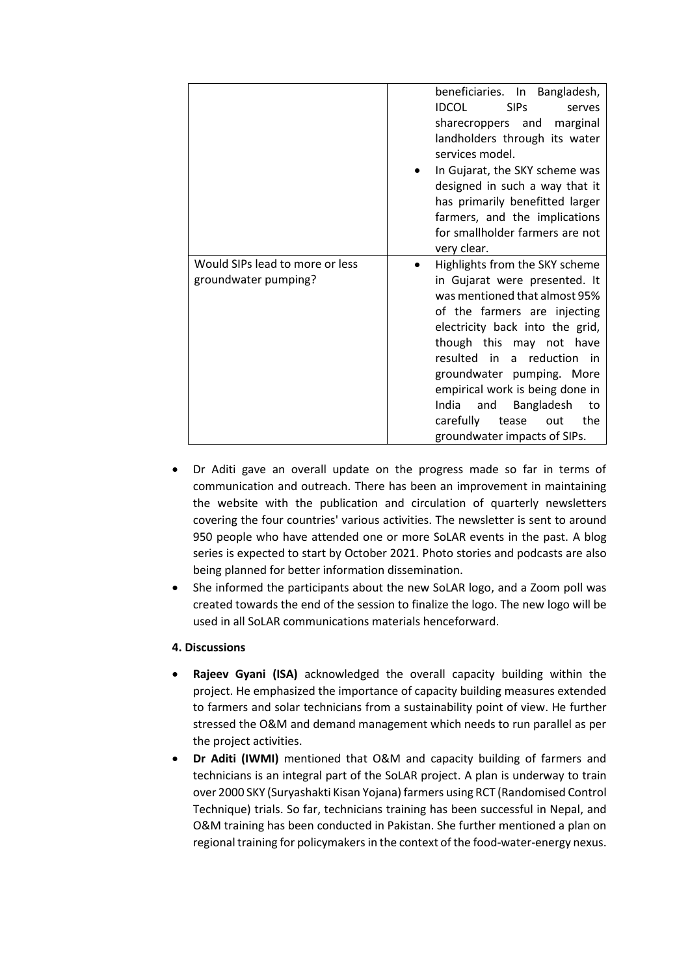|                                                         | beneficiaries. In Bangladesh,<br><b>IDCOL</b><br><b>SIPs</b><br>serves<br>sharecroppers and<br>marginal<br>landholders through its water<br>services model.<br>In Gujarat, the SKY scheme was<br>designed in such a way that it<br>has primarily benefitted larger<br>farmers, and the implications<br>for smallholder farmers are not<br>very clear.                                                          |
|---------------------------------------------------------|----------------------------------------------------------------------------------------------------------------------------------------------------------------------------------------------------------------------------------------------------------------------------------------------------------------------------------------------------------------------------------------------------------------|
| Would SIPs lead to more or less<br>groundwater pumping? | Highlights from the SKY scheme<br>in Gujarat were presented. It<br>was mentioned that almost 95%<br>of the farmers are injecting<br>electricity back into the grid,<br>though this may not have<br>resulted in<br>a reduction<br>in in<br>groundwater pumping. More<br>empirical work is being done in<br>India<br>Bangladesh<br>and<br>to<br>carefully<br>the<br>tease<br>out<br>groundwater impacts of SIPs. |

- Dr Aditi gave an overall update on the progress made so far in terms of communication and outreach. There has been an improvement in maintaining the website with the publication and circulation of quarterly newsletters covering the four countries' various activities. The newsletter is sent to around 950 people who have attended one or more SoLAR events in the past. A blog series is expected to start by October 2021. Photo stories and podcasts are also being planned for better information dissemination.
- She informed the participants about the new SoLAR logo, and a Zoom poll was created towards the end of the session to finalize the logo. The new logo will be used in all SoLAR communications materials henceforward.

### **4. Discussions**

- **Rajeev Gyani (ISA)** acknowledged the overall capacity building within the project. He emphasized the importance of capacity building measures extended to farmers and solar technicians from a sustainability point of view. He further stressed the O&M and demand management which needs to run parallel as per the project activities.
- **Dr Aditi (IWMI)** mentioned that O&M and capacity building of farmers and technicians is an integral part of the SoLAR project. A plan is underway to train over 2000 SKY (Suryashakti Kisan Yojana) farmers using RCT (Randomised Control Technique) trials. So far, technicians training has been successful in Nepal, and O&M training has been conducted in Pakistan. She further mentioned a plan on regional training for policymakers in the context of the food-water-energy nexus.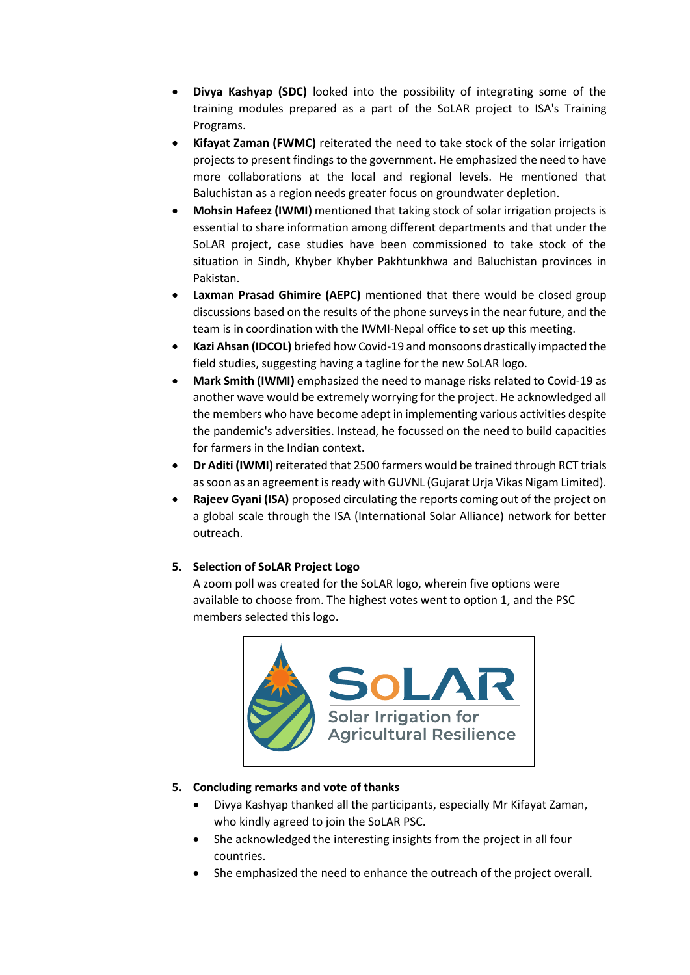- **Divya Kashyap (SDC)** looked into the possibility of integrating some of the training modules prepared as a part of the SoLAR project to ISA's Training Programs.
- **Kifayat Zaman (FWMC)** reiterated the need to take stock of the solar irrigation projects to present findings to the government. He emphasized the need to have more collaborations at the local and regional levels. He mentioned that Baluchistan as a region needs greater focus on groundwater depletion.
- **Mohsin Hafeez (IWMI)** mentioned that taking stock of solar irrigation projects is essential to share information among different departments and that under the SoLAR project, case studies have been commissioned to take stock of the situation in Sindh, Khyber Khyber Pakhtunkhwa and Baluchistan provinces in Pakistan.
- **Laxman Prasad Ghimire (AEPC)** mentioned that there would be closed group discussions based on the results of the phone surveys in the near future, and the team is in coordination with the IWMI-Nepal office to set up this meeting.
- **Kazi Ahsan (IDCOL)** briefed how Covid-19 and monsoons drastically impacted the field studies, suggesting having a tagline for the new SoLAR logo.
- **Mark Smith (IWMI)** emphasized the need to manage risks related to Covid-19 as another wave would be extremely worrying for the project. He acknowledged all the members who have become adept in implementing various activities despite the pandemic's adversities. Instead, he focussed on the need to build capacities for farmers in the Indian context.
- **Dr Aditi (IWMI)** reiterated that 2500 farmers would be trained through RCT trials as soon as an agreement is ready with GUVNL (Gujarat Urja Vikas Nigam Limited).
- **Rajeev Gyani (ISA)** proposed circulating the reports coming out of the project on a global scale through the ISA (International Solar Alliance) network for better outreach.

### **5. Selection of SoLAR Project Logo**

A zoom poll was created for the SoLAR logo, wherein five options were available to choose from. The highest votes went to option 1, and the PSC members selected this logo.



### **5. Concluding remarks and vote of thanks**

- Divya Kashyap thanked all the participants, especially Mr Kifayat Zaman, who kindly agreed to join the SoLAR PSC.
- She acknowledged the interesting insights from the project in all four countries.
- She emphasized the need to enhance the outreach of the project overall.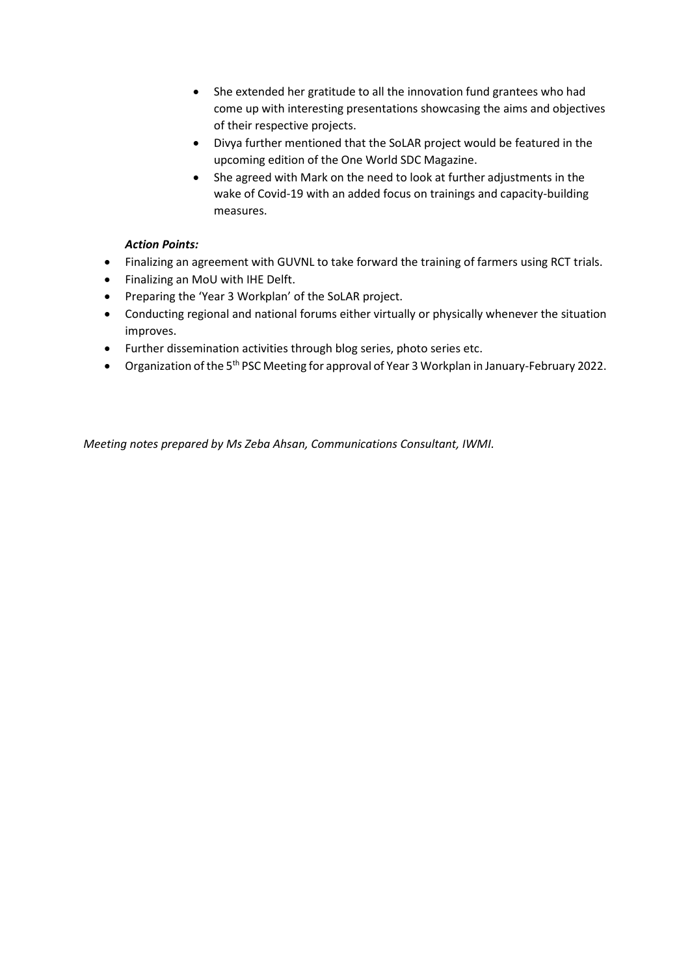- She extended her gratitude to all the innovation fund grantees who had come up with interesting presentations showcasing the aims and objectives of their respective projects.
- Divya further mentioned that the SoLAR project would be featured in the upcoming edition of the One World SDC Magazine.
- She agreed with Mark on the need to look at further adjustments in the wake of Covid-19 with an added focus on trainings and capacity-building measures.

### *Action Points:*

- Finalizing an agreement with GUVNL to take forward the training of farmers using RCT trials.
- Finalizing an MoU with IHE Delft.
- Preparing the 'Year 3 Workplan' of the SoLAR project.
- Conducting regional and national forums either virtually or physically whenever the situation improves.
- Further dissemination activities through blog series, photo series etc.
- Organization of the 5<sup>th</sup> PSC Meeting for approval of Year 3 Workplan in January-February 2022.

*Meeting notes prepared by Ms Zeba Ahsan, Communications Consultant, IWMI.*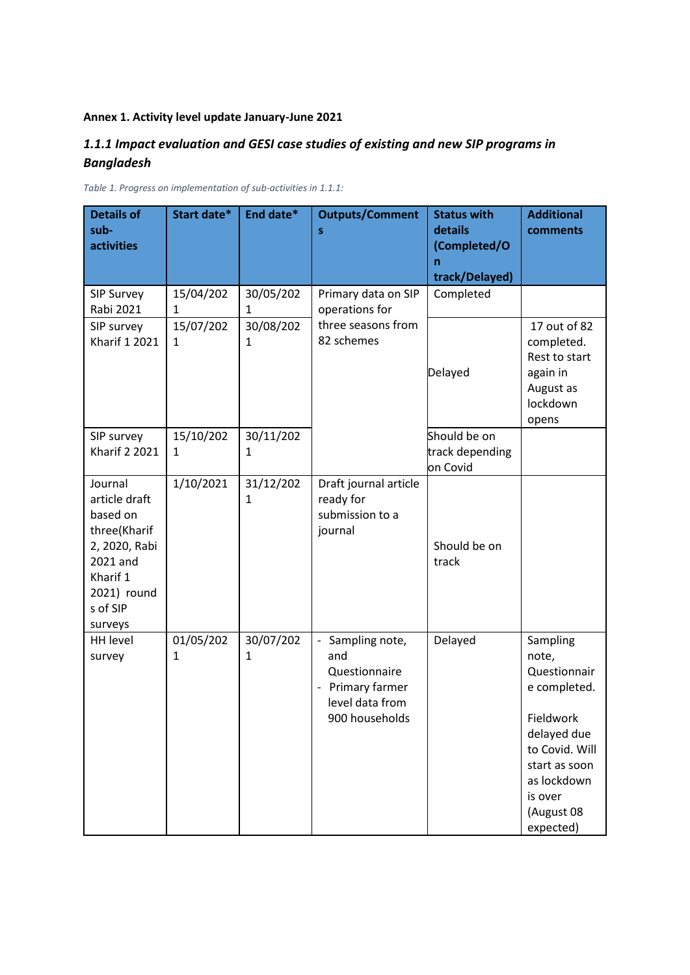### **Annex 1. Activity level update January-June 2021**

### *1.1.1 Impact evaluation and GESI case studies of existing and new SIP programs in Bangladesh*

| <b>Details of</b><br>sub-<br><b>activities</b>                                                                                      | Start date*    | End date*      | <b>Outputs/Comment</b><br>S                                                                     | <b>Status with</b><br>details<br>(Completed/O | <b>Additional</b><br>comments                                                                                                                                         |
|-------------------------------------------------------------------------------------------------------------------------------------|----------------|----------------|-------------------------------------------------------------------------------------------------|-----------------------------------------------|-----------------------------------------------------------------------------------------------------------------------------------------------------------------------|
|                                                                                                                                     |                |                |                                                                                                 | n<br>track/Delayed)                           |                                                                                                                                                                       |
| SIP Survey<br>Rabi 2021                                                                                                             | 15/04/202<br>1 | 30/05/202<br>1 | Primary data on SIP<br>operations for                                                           | Completed                                     |                                                                                                                                                                       |
| SIP survey<br><b>Kharif 1 2021</b>                                                                                                  | 15/07/202<br>1 | 30/08/202<br>1 | three seasons from<br>82 schemes                                                                | Delayed                                       | 17 out of 82<br>completed.<br>Rest to start<br>again in<br>August as<br>lockdown<br>opens                                                                             |
| SIP survey<br><b>Kharif 2 2021</b>                                                                                                  | 15/10/202<br>1 | 30/11/202<br>1 |                                                                                                 | Should be on<br>track depending<br>on Covid   |                                                                                                                                                                       |
| Journal<br>article draft<br>based on<br>three(Kharif<br>2, 2020, Rabi<br>2021 and<br>Kharif 1<br>2021) round<br>s of SIP<br>surveys | 1/10/2021      | 31/12/202<br>1 | Draft journal article<br>ready for<br>submission to a<br>journal                                | Should be on<br>track                         |                                                                                                                                                                       |
| <b>HH level</b><br>survey                                                                                                           | 01/05/202<br>1 | 30/07/202<br>1 | Sampling note,<br>and<br>Questionnaire<br>- Primary farmer<br>level data from<br>900 households | Delayed                                       | Sampling<br>note,<br>Questionnair<br>e completed.<br>Fieldwork<br>delayed due<br>to Covid. Will<br>start as soon<br>as lockdown<br>is over<br>(August 08<br>expected) |

*Table 1. Progress on implementation of sub-activities in 1.1.1:*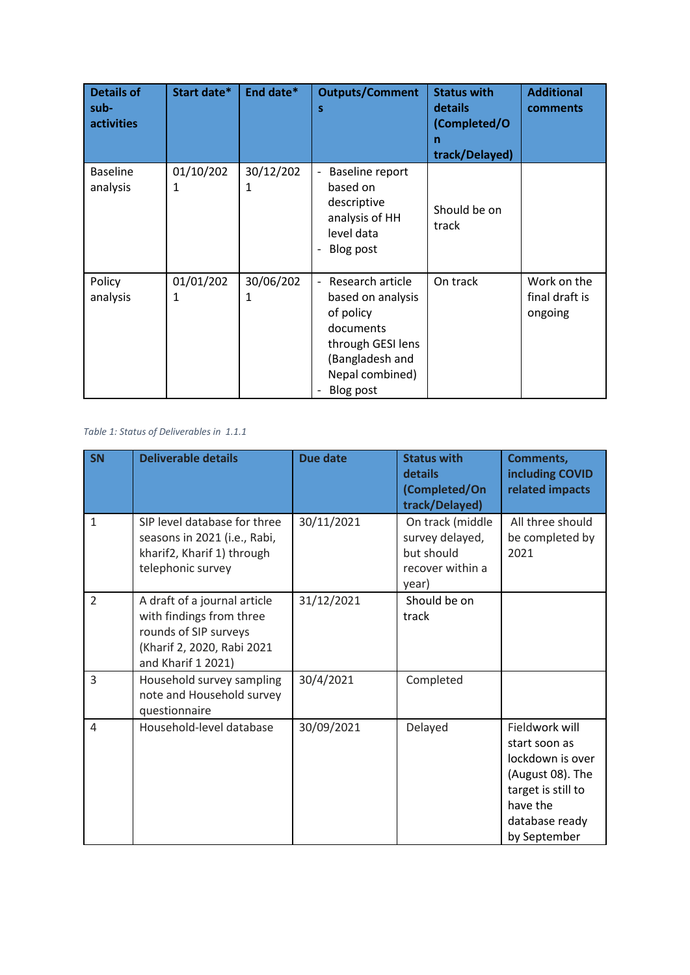| <b>Details of</b><br>sub-<br><b>activities</b> | Start date*               | End date*      | <b>Outputs/Comment</b><br>S                                                                                                             | <b>Status with</b><br>details<br>(Completed/O<br>n<br>track/Delayed) | <b>Additional</b><br>comments            |
|------------------------------------------------|---------------------------|----------------|-----------------------------------------------------------------------------------------------------------------------------------------|----------------------------------------------------------------------|------------------------------------------|
| <b>Baseline</b><br>analysis                    | 01/10/202<br>1            | 30/12/202<br>1 | Baseline report<br>based on<br>descriptive<br>analysis of HH<br>level data<br>Blog post<br>$\overline{\phantom{a}}$                     | Should be on<br>track                                                |                                          |
| Policy<br>analysis                             | 01/01/202<br>$\mathbf{1}$ | 30/06/202<br>1 | Research article<br>based on analysis<br>of policy<br>documents<br>through GESI lens<br>(Bangladesh and<br>Nepal combined)<br>Blog post | On track                                                             | Work on the<br>final draft is<br>ongoing |

*Table 1: Status of Deliverables in 1.1.1*

| <b>SN</b>      | <b>Deliverable details</b>                                                                                                            | <b>Due date</b> | <b>Status with</b><br>details<br>(Completed/On<br>track/Delayed)               | Comments,<br>including COVID<br>related impacts                                                                                             |
|----------------|---------------------------------------------------------------------------------------------------------------------------------------|-----------------|--------------------------------------------------------------------------------|---------------------------------------------------------------------------------------------------------------------------------------------|
| $\mathbf{1}$   | SIP level database for three<br>seasons in 2021 (i.e., Rabi,<br>kharif2, Kharif 1) through<br>telephonic survey                       | 30/11/2021      | On track (middle<br>survey delayed,<br>but should<br>recover within a<br>year) | All three should<br>be completed by<br>2021                                                                                                 |
| $\overline{2}$ | A draft of a journal article<br>with findings from three<br>rounds of SIP surveys<br>(Kharif 2, 2020, Rabi 2021<br>and Kharif 1 2021) | 31/12/2021      | Should be on<br>track                                                          |                                                                                                                                             |
| 3              | Household survey sampling<br>note and Household survey<br>questionnaire                                                               | 30/4/2021       | Completed                                                                      |                                                                                                                                             |
| 4              | Household-level database                                                                                                              | 30/09/2021      | Delayed                                                                        | Fieldwork will<br>start soon as<br>lockdown is over<br>(August 08). The<br>target is still to<br>have the<br>database ready<br>by September |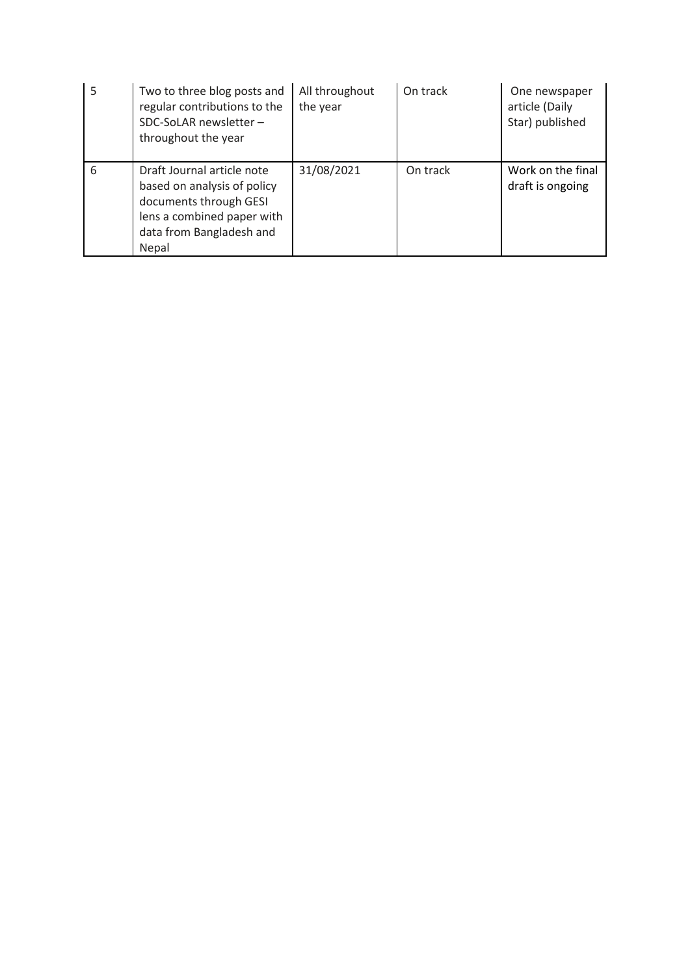| 5 | Two to three blog posts and<br>regular contributions to the<br>SDC-SoLAR newsletter -<br>throughout the year                                           | All throughout<br>the year | On track | One newspaper<br>article (Daily<br>Star) published |
|---|--------------------------------------------------------------------------------------------------------------------------------------------------------|----------------------------|----------|----------------------------------------------------|
| 6 | Draft Journal article note<br>based on analysis of policy<br>documents through GESI<br>lens a combined paper with<br>data from Bangladesh and<br>Nepal | 31/08/2021                 | On track | Work on the final<br>draft is ongoing              |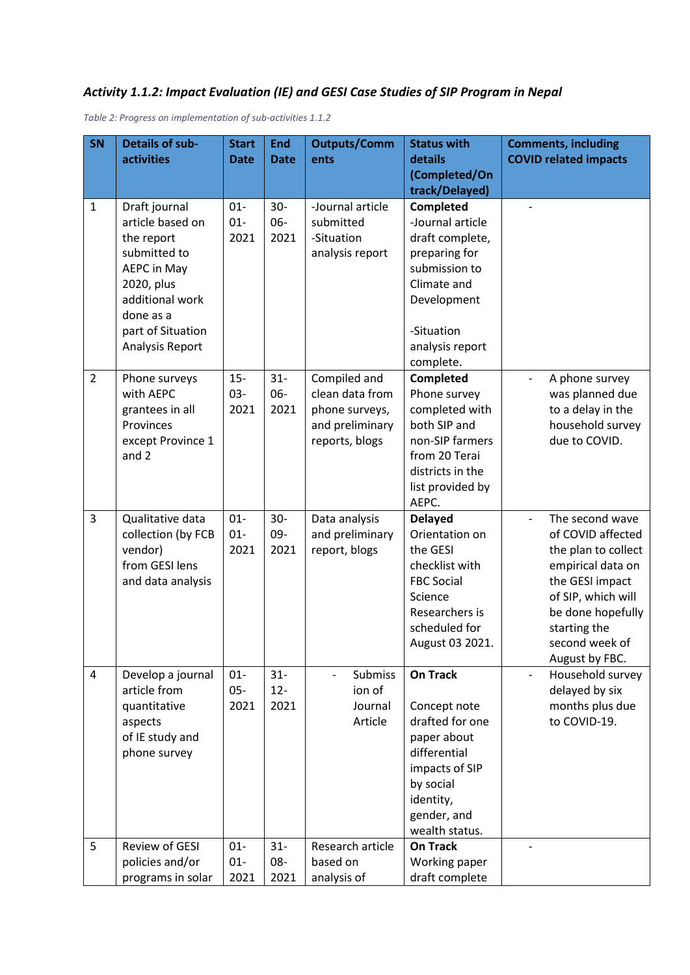# *Activity 1.1.2: Impact Evaluation (IE) and GESI Case Studies of SIP Program in Nepal*

*Table 2: Progress on implementation of sub-activities 1.1.2*

| SN                  | <b>Details of sub-</b>                                                                                                                                                                           | <b>Start</b>                                         | <b>End</b>                                        | <b>Outputs/Comm</b>                                                                                           | <b>Status with</b>                                                                                                                                                                                                                                                                                                                                        | <b>Comments, including</b>                                                                                                                                                                                                                                               |
|---------------------|--------------------------------------------------------------------------------------------------------------------------------------------------------------------------------------------------|------------------------------------------------------|---------------------------------------------------|---------------------------------------------------------------------------------------------------------------|-----------------------------------------------------------------------------------------------------------------------------------------------------------------------------------------------------------------------------------------------------------------------------------------------------------------------------------------------------------|--------------------------------------------------------------------------------------------------------------------------------------------------------------------------------------------------------------------------------------------------------------------------|
|                     | <b>activities</b>                                                                                                                                                                                | <b>Date</b>                                          | <b>Date</b>                                       | ents                                                                                                          | details                                                                                                                                                                                                                                                                                                                                                   | <b>COVID related impacts</b>                                                                                                                                                                                                                                             |
|                     |                                                                                                                                                                                                  |                                                      |                                                   |                                                                                                               | (Completed/On                                                                                                                                                                                                                                                                                                                                             |                                                                                                                                                                                                                                                                          |
| $\mathbf{1}$        | Draft journal                                                                                                                                                                                    | $01 -$                                               | $30-$                                             | -Journal article                                                                                              | track/Delayed)<br>Completed                                                                                                                                                                                                                                                                                                                               |                                                                                                                                                                                                                                                                          |
|                     | article based on                                                                                                                                                                                 | $01 -$                                               | 06-                                               | submitted                                                                                                     | -Journal article                                                                                                                                                                                                                                                                                                                                          |                                                                                                                                                                                                                                                                          |
|                     | the report                                                                                                                                                                                       | 2021                                                 | 2021                                              | -Situation                                                                                                    | draft complete,                                                                                                                                                                                                                                                                                                                                           |                                                                                                                                                                                                                                                                          |
|                     | submitted to                                                                                                                                                                                     |                                                      |                                                   | analysis report                                                                                               | preparing for                                                                                                                                                                                                                                                                                                                                             |                                                                                                                                                                                                                                                                          |
|                     | <b>AEPC in May</b>                                                                                                                                                                               |                                                      |                                                   |                                                                                                               | submission to                                                                                                                                                                                                                                                                                                                                             |                                                                                                                                                                                                                                                                          |
|                     | 2020, plus                                                                                                                                                                                       |                                                      |                                                   |                                                                                                               | Climate and                                                                                                                                                                                                                                                                                                                                               |                                                                                                                                                                                                                                                                          |
|                     | additional work                                                                                                                                                                                  |                                                      |                                                   |                                                                                                               | Development                                                                                                                                                                                                                                                                                                                                               |                                                                                                                                                                                                                                                                          |
|                     | done as a                                                                                                                                                                                        |                                                      |                                                   |                                                                                                               |                                                                                                                                                                                                                                                                                                                                                           |                                                                                                                                                                                                                                                                          |
|                     | part of Situation                                                                                                                                                                                |                                                      |                                                   |                                                                                                               | -Situation                                                                                                                                                                                                                                                                                                                                                |                                                                                                                                                                                                                                                                          |
|                     | Analysis Report                                                                                                                                                                                  |                                                      |                                                   |                                                                                                               | analysis report                                                                                                                                                                                                                                                                                                                                           |                                                                                                                                                                                                                                                                          |
|                     |                                                                                                                                                                                                  |                                                      |                                                   |                                                                                                               | complete.                                                                                                                                                                                                                                                                                                                                                 |                                                                                                                                                                                                                                                                          |
| $\overline{2}$      | Phone surveys                                                                                                                                                                                    | $15 -$                                               | $31 -$                                            | Compiled and                                                                                                  | Completed                                                                                                                                                                                                                                                                                                                                                 | A phone survey                                                                                                                                                                                                                                                           |
|                     | with AEPC                                                                                                                                                                                        | 03-                                                  | 06-                                               | clean data from                                                                                               | Phone survey                                                                                                                                                                                                                                                                                                                                              | was planned due                                                                                                                                                                                                                                                          |
|                     |                                                                                                                                                                                                  |                                                      |                                                   |                                                                                                               |                                                                                                                                                                                                                                                                                                                                                           |                                                                                                                                                                                                                                                                          |
|                     |                                                                                                                                                                                                  |                                                      |                                                   |                                                                                                               |                                                                                                                                                                                                                                                                                                                                                           |                                                                                                                                                                                                                                                                          |
|                     |                                                                                                                                                                                                  |                                                      |                                                   |                                                                                                               |                                                                                                                                                                                                                                                                                                                                                           |                                                                                                                                                                                                                                                                          |
|                     |                                                                                                                                                                                                  |                                                      |                                                   |                                                                                                               |                                                                                                                                                                                                                                                                                                                                                           |                                                                                                                                                                                                                                                                          |
|                     |                                                                                                                                                                                                  |                                                      |                                                   |                                                                                                               |                                                                                                                                                                                                                                                                                                                                                           |                                                                                                                                                                                                                                                                          |
|                     |                                                                                                                                                                                                  |                                                      |                                                   |                                                                                                               | AEPC.                                                                                                                                                                                                                                                                                                                                                     |                                                                                                                                                                                                                                                                          |
| $\overline{3}$      | Qualitative data                                                                                                                                                                                 | $01 -$                                               | $30 -$                                            | Data analysis                                                                                                 | <b>Delayed</b>                                                                                                                                                                                                                                                                                                                                            | The second wave                                                                                                                                                                                                                                                          |
|                     | collection (by FCB                                                                                                                                                                               | $01 -$                                               | 09-                                               | and preliminary                                                                                               | Orientation on                                                                                                                                                                                                                                                                                                                                            | of COVID affected                                                                                                                                                                                                                                                        |
|                     | vendor)                                                                                                                                                                                          | 2021                                                 | 2021                                              | report, blogs                                                                                                 | the GESI                                                                                                                                                                                                                                                                                                                                                  | the plan to collect                                                                                                                                                                                                                                                      |
|                     |                                                                                                                                                                                                  |                                                      |                                                   |                                                                                                               |                                                                                                                                                                                                                                                                                                                                                           |                                                                                                                                                                                                                                                                          |
|                     |                                                                                                                                                                                                  |                                                      |                                                   |                                                                                                               |                                                                                                                                                                                                                                                                                                                                                           |                                                                                                                                                                                                                                                                          |
|                     |                                                                                                                                                                                                  |                                                      |                                                   |                                                                                                               |                                                                                                                                                                                                                                                                                                                                                           |                                                                                                                                                                                                                                                                          |
|                     |                                                                                                                                                                                                  |                                                      |                                                   |                                                                                                               |                                                                                                                                                                                                                                                                                                                                                           |                                                                                                                                                                                                                                                                          |
|                     |                                                                                                                                                                                                  |                                                      |                                                   |                                                                                                               |                                                                                                                                                                                                                                                                                                                                                           |                                                                                                                                                                                                                                                                          |
|                     |                                                                                                                                                                                                  |                                                      |                                                   |                                                                                                               |                                                                                                                                                                                                                                                                                                                                                           |                                                                                                                                                                                                                                                                          |
|                     |                                                                                                                                                                                                  |                                                      |                                                   |                                                                                                               |                                                                                                                                                                                                                                                                                                                                                           |                                                                                                                                                                                                                                                                          |
|                     |                                                                                                                                                                                                  |                                                      |                                                   | ion of                                                                                                        |                                                                                                                                                                                                                                                                                                                                                           |                                                                                                                                                                                                                                                                          |
|                     | quantitative                                                                                                                                                                                     | 2021                                                 | 2021                                              | Journal                                                                                                       |                                                                                                                                                                                                                                                                                                                                                           |                                                                                                                                                                                                                                                                          |
|                     | aspects                                                                                                                                                                                          |                                                      |                                                   | Article                                                                                                       | drafted for one                                                                                                                                                                                                                                                                                                                                           | to COVID-19.                                                                                                                                                                                                                                                             |
|                     | of IE study and                                                                                                                                                                                  |                                                      |                                                   |                                                                                                               | paper about                                                                                                                                                                                                                                                                                                                                               |                                                                                                                                                                                                                                                                          |
|                     | phone survey                                                                                                                                                                                     |                                                      |                                                   |                                                                                                               | differential                                                                                                                                                                                                                                                                                                                                              |                                                                                                                                                                                                                                                                          |
|                     |                                                                                                                                                                                                  |                                                      |                                                   |                                                                                                               | impacts of SIP                                                                                                                                                                                                                                                                                                                                            |                                                                                                                                                                                                                                                                          |
|                     |                                                                                                                                                                                                  |                                                      |                                                   |                                                                                                               | by social                                                                                                                                                                                                                                                                                                                                                 |                                                                                                                                                                                                                                                                          |
|                     |                                                                                                                                                                                                  |                                                      |                                                   |                                                                                                               |                                                                                                                                                                                                                                                                                                                                                           |                                                                                                                                                                                                                                                                          |
|                     |                                                                                                                                                                                                  |                                                      |                                                   |                                                                                                               |                                                                                                                                                                                                                                                                                                                                                           |                                                                                                                                                                                                                                                                          |
|                     |                                                                                                                                                                                                  |                                                      |                                                   |                                                                                                               |                                                                                                                                                                                                                                                                                                                                                           |                                                                                                                                                                                                                                                                          |
|                     |                                                                                                                                                                                                  |                                                      |                                                   |                                                                                                               |                                                                                                                                                                                                                                                                                                                                                           |                                                                                                                                                                                                                                                                          |
|                     |                                                                                                                                                                                                  |                                                      |                                                   |                                                                                                               |                                                                                                                                                                                                                                                                                                                                                           |                                                                                                                                                                                                                                                                          |
| $\overline{4}$<br>5 | grantees in all<br>Provinces<br>except Province 1<br>and 2<br>from GESI lens<br>and data analysis<br>Develop a journal<br>article from<br>Review of GESI<br>policies and/or<br>programs in solar | 2021<br>$01 -$<br>$05 -$<br>$01 -$<br>$01 -$<br>2021 | 2021<br>$31 -$<br>$12 -$<br>$31 -$<br>08-<br>2021 | phone surveys,<br>and preliminary<br>reports, blogs<br>Submiss<br>Research article<br>based on<br>analysis of | completed with<br>both SIP and<br>non-SIP farmers<br>from 20 Terai<br>districts in the<br>list provided by<br>checklist with<br><b>FBC Social</b><br>Science<br>Researchers is<br>scheduled for<br>August 03 2021.<br><b>On Track</b><br>Concept note<br>identity,<br>gender, and<br>wealth status.<br><b>On Track</b><br>Working paper<br>draft complete | to a delay in the<br>household survey<br>due to COVID.<br>empirical data on<br>the GESI impact<br>of SIP, which will<br>be done hopefully<br>starting the<br>second week of<br>August by FBC.<br>Household survey<br>$\blacksquare$<br>delayed by six<br>months plus due |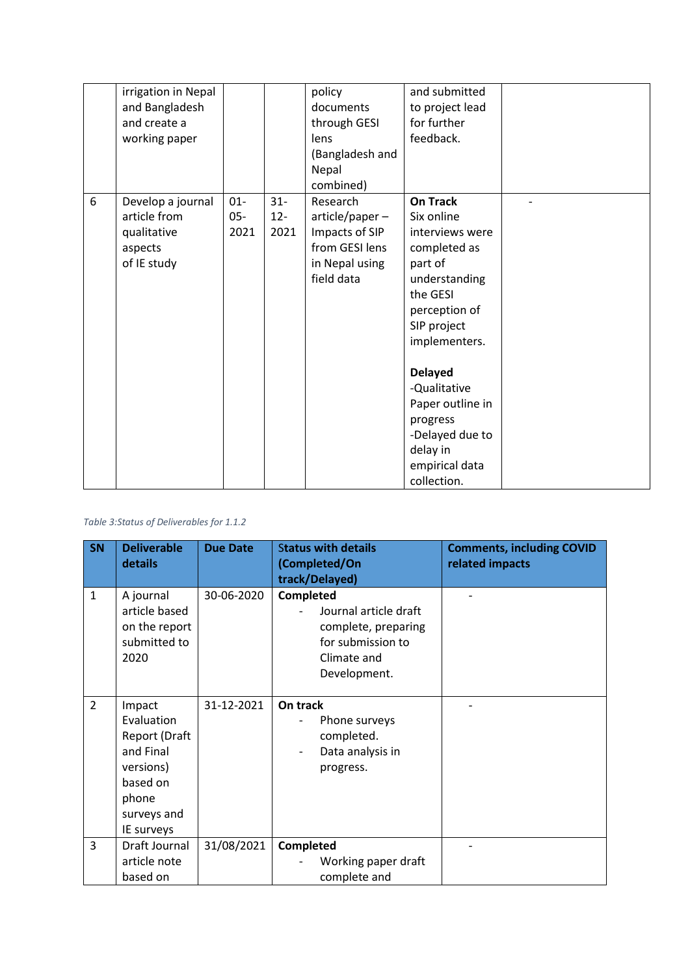|   | irrigation in Nepal |        |        | policy          | and submitted    |  |
|---|---------------------|--------|--------|-----------------|------------------|--|
|   | and Bangladesh      |        |        | documents       | to project lead  |  |
|   | and create a        |        |        | through GESI    | for further      |  |
|   | working paper       |        |        | lens            | feedback.        |  |
|   |                     |        |        | (Bangladesh and |                  |  |
|   |                     |        |        | Nepal           |                  |  |
|   |                     |        |        | combined)       |                  |  |
| 6 | Develop a journal   | $01 -$ | $31 -$ | Research        | <b>On Track</b>  |  |
|   | article from        | $05 -$ | $12 -$ | article/paper-  | Six online       |  |
|   | qualitative         | 2021   | 2021   | Impacts of SIP  | interviews were  |  |
|   | aspects             |        |        | from GESI lens  | completed as     |  |
|   | of IE study         |        |        | in Nepal using  | part of          |  |
|   |                     |        |        | field data      | understanding    |  |
|   |                     |        |        |                 | the GESI         |  |
|   |                     |        |        |                 | perception of    |  |
|   |                     |        |        |                 | SIP project      |  |
|   |                     |        |        |                 | implementers.    |  |
|   |                     |        |        |                 |                  |  |
|   |                     |        |        |                 | <b>Delayed</b>   |  |
|   |                     |        |        |                 | -Qualitative     |  |
|   |                     |        |        |                 | Paper outline in |  |
|   |                     |        |        |                 | progress         |  |
|   |                     |        |        |                 | -Delayed due to  |  |
|   |                     |        |        |                 | delay in         |  |
|   |                     |        |        |                 | empirical data   |  |
|   |                     |        |        |                 | collection.      |  |

#### *Table 3:Status of Deliverables for 1.1.2*

| SN             | <b>Deliverable</b><br>details                                                                                     | <b>Due Date</b> | <b>Status with details</b><br>(Completed/On<br>track/Delayed)                                                 | <b>Comments, including COVID</b><br>related impacts |
|----------------|-------------------------------------------------------------------------------------------------------------------|-----------------|---------------------------------------------------------------------------------------------------------------|-----------------------------------------------------|
| $\mathbf{1}$   | A journal<br>article based<br>on the report<br>submitted to<br>2020                                               | 30-06-2020      | Completed<br>Journal article draft<br>complete, preparing<br>for submission to<br>Climate and<br>Development. |                                                     |
| $\overline{2}$ | Impact<br>Evaluation<br>Report (Draft<br>and Final<br>versions)<br>based on<br>phone<br>surveys and<br>IE surveys | 31-12-2021      | On track<br>Phone surveys<br>completed.<br>Data analysis in<br>progress.                                      |                                                     |
| 3              | Draft Journal<br>article note<br>based on                                                                         | 31/08/2021      | <b>Completed</b><br>Working paper draft<br>complete and                                                       |                                                     |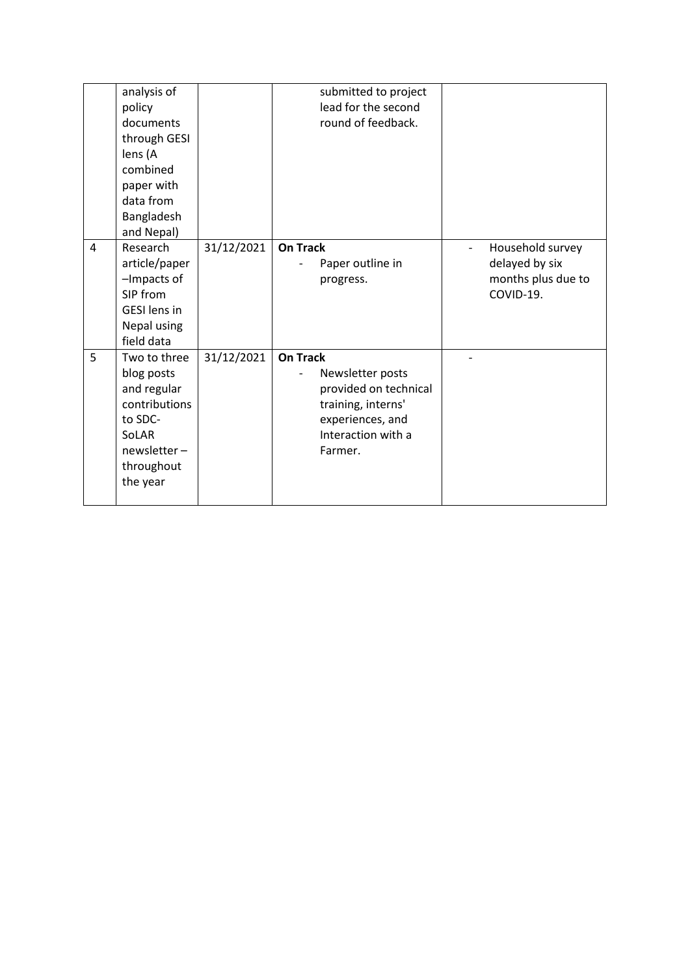|   | analysis of<br>policy<br>documents<br>through GESI<br>lens (A<br>combined<br>paper with<br>data from<br>Bangladesh<br>and Nepal) |            | submitted to project<br>lead for the second<br>round of feedback.                                                                       |                                                                       |
|---|----------------------------------------------------------------------------------------------------------------------------------|------------|-----------------------------------------------------------------------------------------------------------------------------------------|-----------------------------------------------------------------------|
| 4 | Research<br>article/paper<br>-Impacts of<br>SIP from<br><b>GESI</b> lens in<br>Nepal using<br>field data                         | 31/12/2021 | <b>On Track</b><br>Paper outline in<br>progress.                                                                                        | Household survey<br>delayed by six<br>months plus due to<br>COVID-19. |
| 5 | Two to three<br>blog posts<br>and regular<br>contributions<br>to SDC-<br>SoLAR<br>$news exter -$<br>throughout<br>the year       | 31/12/2021 | <b>On Track</b><br>Newsletter posts<br>provided on technical<br>training, interns'<br>experiences, and<br>Interaction with a<br>Farmer. |                                                                       |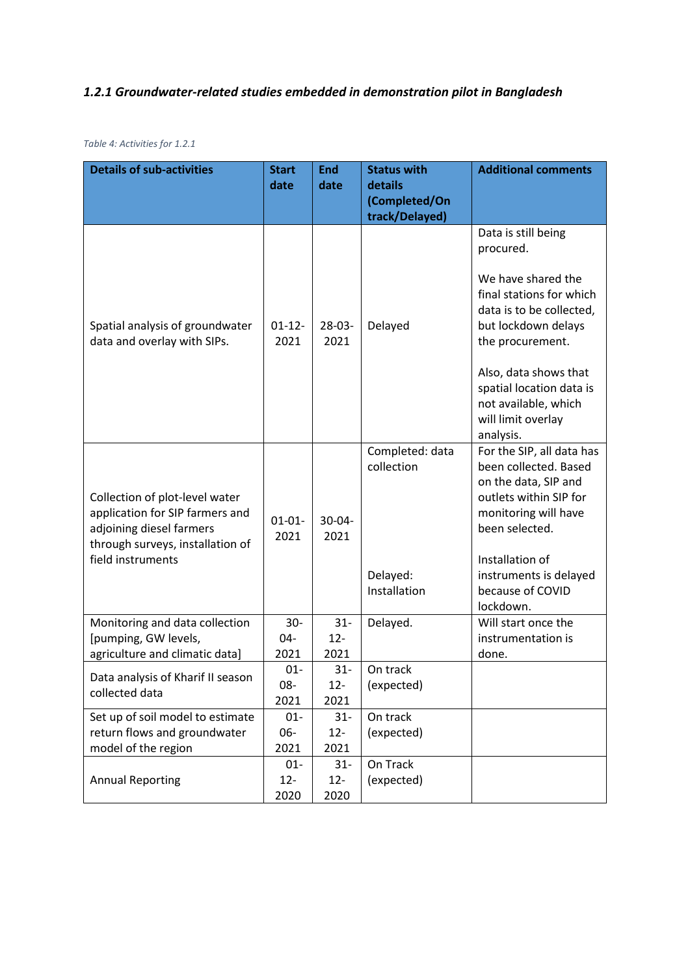# *1.2.1 Groundwater-related studies embedded in demonstration pilot in Bangladesh*

| <b>Details of sub-activities</b>                                                                                                  | <b>Start</b>        | <b>End</b>          | <b>Status with</b>            | <b>Additional comments</b>                                                                                            |
|-----------------------------------------------------------------------------------------------------------------------------------|---------------------|---------------------|-------------------------------|-----------------------------------------------------------------------------------------------------------------------|
|                                                                                                                                   | date                | date                | details                       |                                                                                                                       |
|                                                                                                                                   |                     |                     | (Completed/On                 |                                                                                                                       |
|                                                                                                                                   |                     |                     | track/Delayed)                |                                                                                                                       |
|                                                                                                                                   |                     |                     |                               | Data is still being<br>procured.                                                                                      |
| Spatial analysis of groundwater<br>data and overlay with SIPs.                                                                    | $01 - 12 -$<br>2021 | $28-03-$<br>2021    | Delayed                       | We have shared the<br>final stations for which<br>data is to be collected,<br>but lockdown delays<br>the procurement. |
|                                                                                                                                   |                     |                     |                               | Also, data shows that<br>spatial location data is<br>not available, which<br>will limit overlay<br>analysis.          |
|                                                                                                                                   |                     |                     | Completed: data<br>collection | For the SIP, all data has<br>been collected. Based                                                                    |
| Collection of plot-level water<br>application for SIP farmers and<br>adjoining diesel farmers<br>through surveys, installation of | $01 - 01 -$<br>2021 | $30 - 04 -$<br>2021 |                               | on the data, SIP and<br>outlets within SIP for<br>monitoring will have<br>been selected.                              |
| field instruments                                                                                                                 |                     |                     |                               | Installation of                                                                                                       |
|                                                                                                                                   |                     |                     | Delayed:                      | instruments is delayed                                                                                                |
|                                                                                                                                   |                     |                     | Installation                  | because of COVID<br>lockdown.                                                                                         |
| Monitoring and data collection                                                                                                    | $30 -$              | $31 -$              | Delayed.                      | Will start once the                                                                                                   |
| [pumping, GW levels,                                                                                                              | 04-                 | $12 -$              |                               | instrumentation is                                                                                                    |
| agriculture and climatic data]                                                                                                    | 2021                | 2021                |                               | done.                                                                                                                 |
| Data analysis of Kharif II season                                                                                                 | $01 -$              | $31 -$              | On track                      |                                                                                                                       |
| collected data                                                                                                                    | 08-                 | $12 -$              | (expected)                    |                                                                                                                       |
| Set up of soil model to estimate                                                                                                  | 2021<br>$01 -$      | 2021<br>$31 -$      | On track                      |                                                                                                                       |
| return flows and groundwater                                                                                                      | 06-                 | $12 -$              | (expected)                    |                                                                                                                       |
| model of the region                                                                                                               | 2021                | 2021                |                               |                                                                                                                       |
|                                                                                                                                   | $01 -$              | $31 -$              | On Track                      |                                                                                                                       |
| <b>Annual Reporting</b>                                                                                                           | $12 -$<br>2020      | $12 -$<br>2020      | (expected)                    |                                                                                                                       |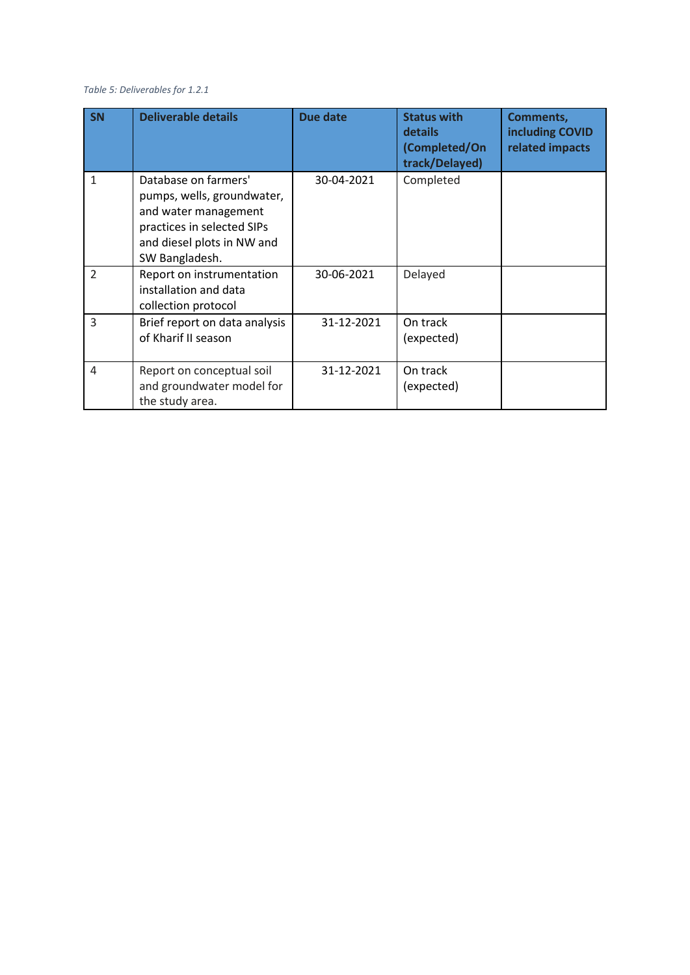#### *Table 5: Deliverables for 1.2.1*

| <b>SN</b>     | <b>Deliverable details</b>                                                                                                                               | Due date   | <b>Status with</b><br>details<br>(Completed/On<br>track/Delayed) | <b>Comments,</b><br>including COVID<br>related impacts |
|---------------|----------------------------------------------------------------------------------------------------------------------------------------------------------|------------|------------------------------------------------------------------|--------------------------------------------------------|
| $\mathbf{1}$  | Database on farmers'<br>pumps, wells, groundwater,<br>and water management<br>practices in selected SIPs<br>and diesel plots in NW and<br>SW Bangladesh. | 30-04-2021 | Completed                                                        |                                                        |
| $\mathcal{P}$ | Report on instrumentation<br>installation and data<br>collection protocol                                                                                | 30-06-2021 | Delayed                                                          |                                                        |
| 3             | Brief report on data analysis<br>of Kharif II season                                                                                                     | 31-12-2021 | On track<br>(expected)                                           |                                                        |
| 4             | Report on conceptual soil<br>and groundwater model for<br>the study area.                                                                                | 31-12-2021 | On track<br>(expected)                                           |                                                        |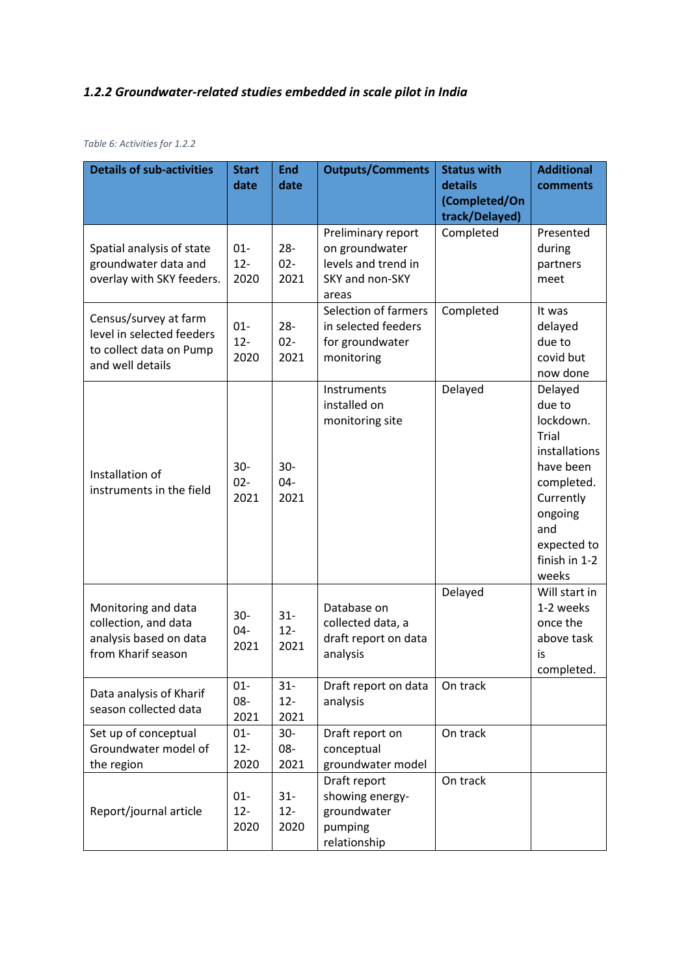## *1.2.2 Groundwater-related studies embedded in scale pilot in India*

#### *Table 6: Activities for 1.2.2*

| <b>Details of sub-activities</b>                                                                  | <b>Start</b><br>date     | <b>End</b><br>date       | <b>Outputs/Comments</b>                                                                 | <b>Status with</b><br>details<br>(Completed/On<br>track/Delayed) | <b>Additional</b><br>comments                                                                                                                               |
|---------------------------------------------------------------------------------------------------|--------------------------|--------------------------|-----------------------------------------------------------------------------------------|------------------------------------------------------------------|-------------------------------------------------------------------------------------------------------------------------------------------------------------|
| Spatial analysis of state<br>groundwater data and<br>overlay with SKY feeders.                    | $01 -$<br>$12 -$<br>2020 | $28 -$<br>$02 -$<br>2021 | Preliminary report<br>on groundwater<br>levels and trend in<br>SKY and non-SKY<br>areas | Completed                                                        | Presented<br>during<br>partners<br>meet                                                                                                                     |
| Census/survey at farm<br>level in selected feeders<br>to collect data on Pump<br>and well details | $01 -$<br>$12 -$<br>2020 | $28 -$<br>$02 -$<br>2021 | Selection of farmers<br>in selected feeders<br>for groundwater<br>monitoring            | Completed                                                        | It was<br>delayed<br>due to<br>covid but<br>now done                                                                                                        |
| Installation of<br>instruments in the field                                                       | $30 -$<br>$02 -$<br>2021 | $30 -$<br>04-<br>2021    | Instruments<br>installed on<br>monitoring site                                          | Delayed                                                          | Delayed<br>due to<br>lockdown.<br>Trial<br>installations<br>have been<br>completed.<br>Currently<br>ongoing<br>and<br>expected to<br>finish in 1-2<br>weeks |
| Monitoring and data<br>collection, and data<br>analysis based on data<br>from Kharif season       | $30 -$<br>$04 -$<br>2021 | $31 -$<br>$12 -$<br>2021 | Database on<br>collected data, a<br>draft report on data<br>analysis                    | Delayed                                                          | Will start in<br>1-2 weeks<br>once the<br>above task<br>is<br>completed.                                                                                    |
| Data analysis of Kharif<br>season collected data                                                  | $01 -$<br>08-<br>2021    | $31 -$<br>$12 -$<br>2021 | Draft report on data<br>analysis                                                        | On track                                                         |                                                                                                                                                             |
| Set up of conceptual<br>Groundwater model of<br>the region                                        | $01 -$<br>$12 -$<br>2020 | $30-$<br>08-<br>2021     | Draft report on<br>conceptual<br>groundwater model                                      | On track                                                         |                                                                                                                                                             |
| Report/journal article                                                                            | $01 -$<br>$12 -$<br>2020 | $31 -$<br>$12 -$<br>2020 | Draft report<br>showing energy-<br>groundwater<br>pumping<br>relationship               | On track                                                         |                                                                                                                                                             |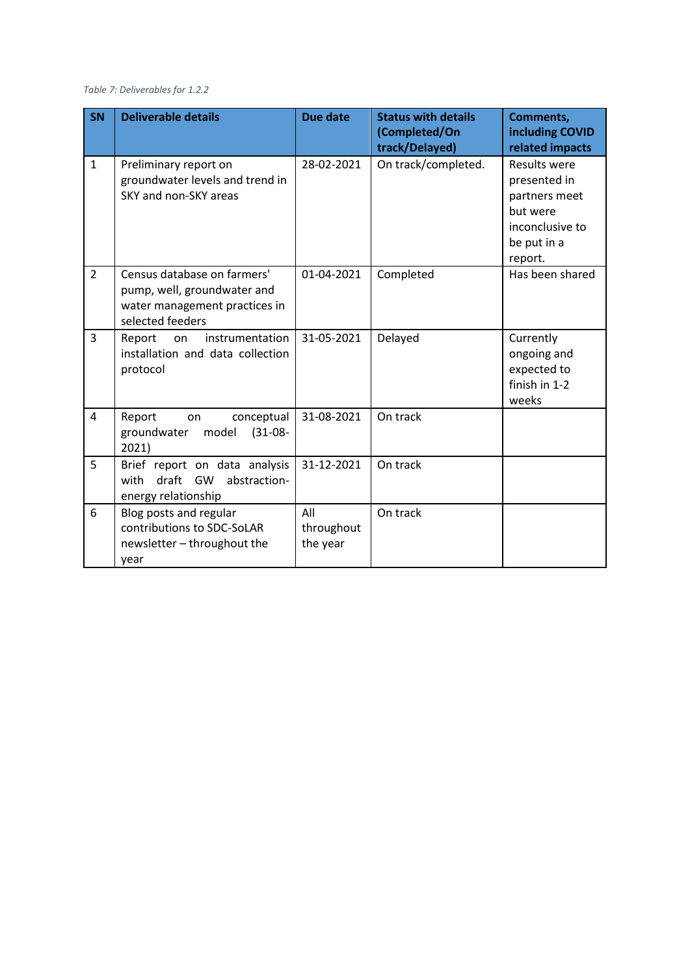#### *Table 7: Deliverables for 1.2.2*

| <b>SN</b>      | <b>Deliverable details</b>                                                                                      | Due date                      | <b>Status with details</b><br>(Completed/On<br>track/Delayed) | <b>Comments,</b><br>including COVID<br>related impacts                                                        |
|----------------|-----------------------------------------------------------------------------------------------------------------|-------------------------------|---------------------------------------------------------------|---------------------------------------------------------------------------------------------------------------|
| $\mathbf{1}$   | Preliminary report on<br>groundwater levels and trend in<br>SKY and non-SKY areas                               | 28-02-2021                    | On track/completed.                                           | <b>Results were</b><br>presented in<br>partners meet<br>but were<br>inconclusive to<br>be put in a<br>report. |
| $\overline{2}$ | Census database on farmers'<br>pump, well, groundwater and<br>water management practices in<br>selected feeders | 01-04-2021                    | Completed                                                     | Has been shared                                                                                               |
| $\overline{3}$ | instrumentation<br>Report<br>on<br>installation and data collection<br>protocol                                 | 31-05-2021                    | Delayed                                                       | Currently<br>ongoing and<br>expected to<br>finish in 1-2<br>weeks                                             |
| 4              | Report<br>conceptual<br>on<br>$(31-08-$<br>groundwater<br>model<br>2021)                                        | 31-08-2021                    | On track                                                      |                                                                                                               |
| 5              | Brief report on data analysis<br>draft GW<br>abstraction-<br>with<br>energy relationship                        | 31-12-2021                    | On track                                                      |                                                                                                               |
| 6              | Blog posts and regular<br>contributions to SDC-SoLAR<br>newsletter - throughout the<br>year                     | All<br>throughout<br>the year | On track                                                      |                                                                                                               |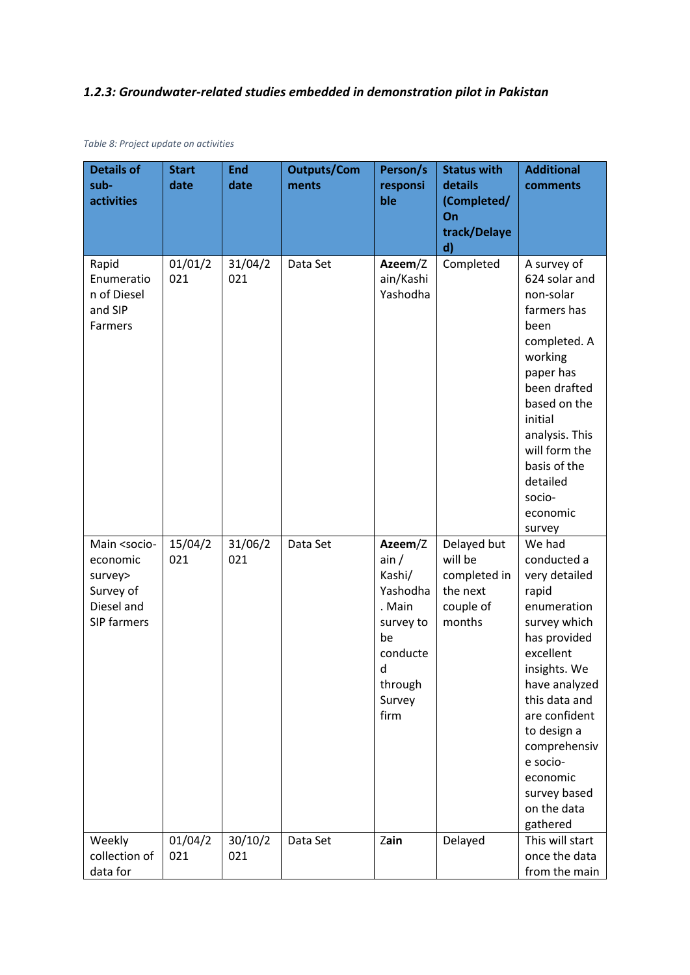## *1.2.3: Groundwater-related studies embedded in demonstration pilot in Pakistan*

| <b>Details of</b><br>sub-<br>activities                                                          | <b>Start</b><br>date | <b>End</b><br>date | <b>Outputs/Com</b><br>ments | Person/s<br>responsi<br>ble                                                                                      | <b>Status with</b><br>details<br>(Completed/<br>On<br>track/Delaye<br>$\mathbf{d}$ | <b>Additional</b><br>comments                                                                                                                                                                                                                                                    |
|--------------------------------------------------------------------------------------------------|----------------------|--------------------|-----------------------------|------------------------------------------------------------------------------------------------------------------|------------------------------------------------------------------------------------|----------------------------------------------------------------------------------------------------------------------------------------------------------------------------------------------------------------------------------------------------------------------------------|
| Rapid<br>Enumeratio<br>n of Diesel<br>and SIP<br>Farmers                                         | 01/01/2<br>021       | 31/04/2<br>021     | Data Set                    | Azeem/Z<br>ain/Kashi<br>Yashodha                                                                                 | Completed                                                                          | A survey of<br>624 solar and<br>non-solar<br>farmers has<br>been<br>completed. A<br>working<br>paper has<br>been drafted<br>based on the<br>initial<br>analysis. This<br>will form the<br>basis of the<br>detailed<br>socio-<br>economic<br>survey                               |
| Main <socio-<br>economic<br/>survey&gt;<br/>Survey of<br/>Diesel and<br/>SIP farmers</socio-<br> | 15/04/2<br>021       | 31/06/2<br>021     | Data Set                    | Azeem/Z<br>ain/<br>Kashi/<br>Yashodha<br>. Main<br>survey to<br>be<br>conducte<br>d<br>through<br>Survey<br>firm | Delayed but<br>will be<br>completed in<br>the next<br>couple of<br>months          | We had<br>conducted a<br>very detailed<br>rapid<br>enumeration<br>survey which<br>has provided<br>excellent<br>insights. We<br>have analyzed<br>this data and<br>are confident<br>to design a<br>comprehensiv<br>e socio-<br>economic<br>survey based<br>on the data<br>gathered |
| Weekly<br>collection of<br>data for                                                              | 01/04/2<br>021       | 30/10/2<br>021     | Data Set                    | Zain                                                                                                             | Delayed                                                                            | This will start<br>once the data<br>from the main                                                                                                                                                                                                                                |

*Table 8: Project update on activities*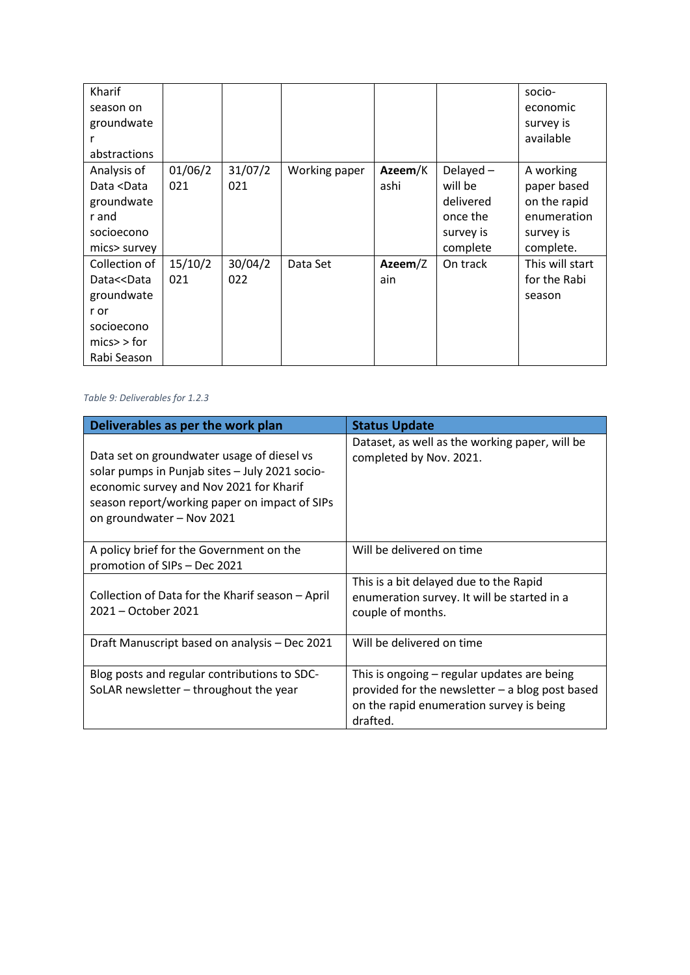| Kharif                                                                                                       |         |         |               |         |           | socio-          |
|--------------------------------------------------------------------------------------------------------------|---------|---------|---------------|---------|-----------|-----------------|
| season on                                                                                                    |         |         |               |         |           | economic        |
| groundwate                                                                                                   |         |         |               |         |           | survey is       |
|                                                                                                              |         |         |               |         |           | available       |
| abstractions                                                                                                 |         |         |               |         |           |                 |
| Analysis of                                                                                                  | 01/06/2 | 31/07/2 | Working paper | Azeem/K | Delayed-  | A working       |
| Data <data< td=""><td>021</td><td>021</td><td></td><td>ashi</td><td>will be</td><td>paper based</td></data<> | 021     | 021     |               | ashi    | will be   | paper based     |
| groundwate                                                                                                   |         |         |               |         | delivered | on the rapid    |
| r and                                                                                                        |         |         |               |         | once the  | enumeration     |
| socioecono                                                                                                   |         |         |               |         | survey is | survey is       |
| mics> survey                                                                                                 |         |         |               |         | complete  | complete.       |
| Collection of                                                                                                | 15/10/2 | 30/04/2 | Data Set      | Azeem/Z | On track  | This will start |
| Data< <data< td=""><td>021</td><td>022</td><td></td><td>ain</td><td></td><td>for the Rabi</td></data<>       | 021     | 022     |               | ain     |           | for the Rabi    |
| groundwate                                                                                                   |         |         |               |         |           | season          |
| r or                                                                                                         |         |         |               |         |           |                 |
| socioecono                                                                                                   |         |         |               |         |           |                 |
| $mics$ > for                                                                                                 |         |         |               |         |           |                 |
| Rabi Season                                                                                                  |         |         |               |         |           |                 |

#### *Table 9: Deliverables for 1.2.3*

| Deliverables as per the work plan                                                                                                                                                                                     | <b>Status Update</b>                                                                                                                                   |
|-----------------------------------------------------------------------------------------------------------------------------------------------------------------------------------------------------------------------|--------------------------------------------------------------------------------------------------------------------------------------------------------|
| Data set on groundwater usage of diesel vs<br>solar pumps in Punjab sites - July 2021 socio-<br>economic survey and Nov 2021 for Kharif<br>season report/working paper on impact of SIPs<br>on groundwater - Nov 2021 | Dataset, as well as the working paper, will be<br>completed by Nov. 2021.                                                                              |
| A policy brief for the Government on the<br>promotion of SIPs - Dec 2021                                                                                                                                              | Will be delivered on time                                                                                                                              |
| Collection of Data for the Kharif season - April<br>2021 - October 2021                                                                                                                                               | This is a bit delayed due to the Rapid<br>enumeration survey. It will be started in a<br>couple of months.                                             |
| Draft Manuscript based on analysis - Dec 2021                                                                                                                                                                         | Will be delivered on time                                                                                                                              |
| Blog posts and regular contributions to SDC-<br>SoLAR newsletter - throughout the year                                                                                                                                | This is ongoing – regular updates are being<br>provided for the newsletter - a blog post based<br>on the rapid enumeration survey is being<br>drafted. |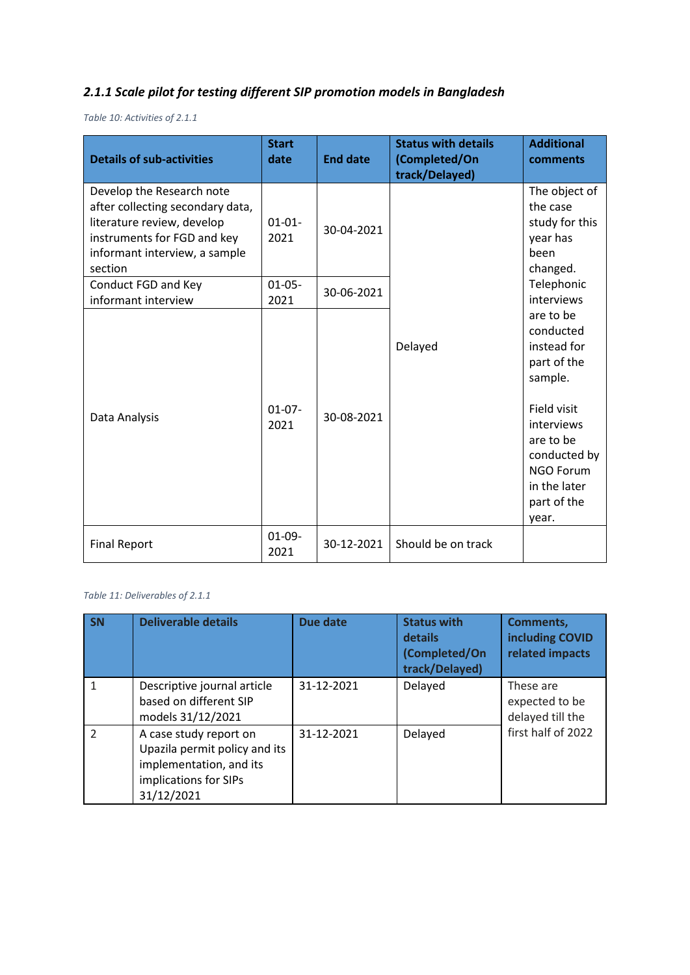# *2.1.1 Scale pilot for testing different SIP promotion models in Bangladesh*

*Table 10: Activities of 2.1.1*

| <b>Details of sub-activities</b>                                                                                                                                       | <b>Start</b><br>date | <b>End date</b> | <b>Status with details</b><br>(Completed/On<br>track/Delayed) | <b>Additional</b><br>comments                                                                                                                                                         |
|------------------------------------------------------------------------------------------------------------------------------------------------------------------------|----------------------|-----------------|---------------------------------------------------------------|---------------------------------------------------------------------------------------------------------------------------------------------------------------------------------------|
| Develop the Research note<br>after collecting secondary data,<br>literature review, develop<br>instruments for FGD and key<br>informant interview, a sample<br>section | $01 - 01 -$<br>2021  | 30-04-2021      |                                                               | The object of<br>the case<br>study for this<br>year has<br>been<br>changed.                                                                                                           |
| Conduct FGD and Key<br>informant interview                                                                                                                             | $01 - 05 -$<br>2021  | 30-06-2021      |                                                               | Telephonic<br>interviews                                                                                                                                                              |
| Data Analysis                                                                                                                                                          | $01-07-$<br>2021     | 30-08-2021      | Delayed                                                       | are to be<br>conducted<br>instead for<br>part of the<br>sample.<br>Field visit<br>interviews<br>are to be<br>conducted by<br><b>NGO Forum</b><br>in the later<br>part of the<br>year. |
| <b>Final Report</b>                                                                                                                                                    | $01-09-$<br>2021     | 30-12-2021      | Should be on track                                            |                                                                                                                                                                                       |

#### *Table 11: Deliverables of 2.1.1*

| <b>SN</b>     | <b>Deliverable details</b>                                                                                                | Due date   | <b>Status with</b><br>details<br>(Completed/On<br>track/Delayed) | <b>Comments,</b><br>including COVID<br>related impacts |
|---------------|---------------------------------------------------------------------------------------------------------------------------|------------|------------------------------------------------------------------|--------------------------------------------------------|
|               | Descriptive journal article<br>based on different SIP<br>models 31/12/2021                                                | 31-12-2021 | Delayed                                                          | These are<br>expected to be<br>delayed till the        |
| $\mathcal{P}$ | A case study report on<br>Upazila permit policy and its<br>implementation, and its<br>implications for SIPs<br>31/12/2021 | 31-12-2021 | Delayed                                                          | first half of 2022                                     |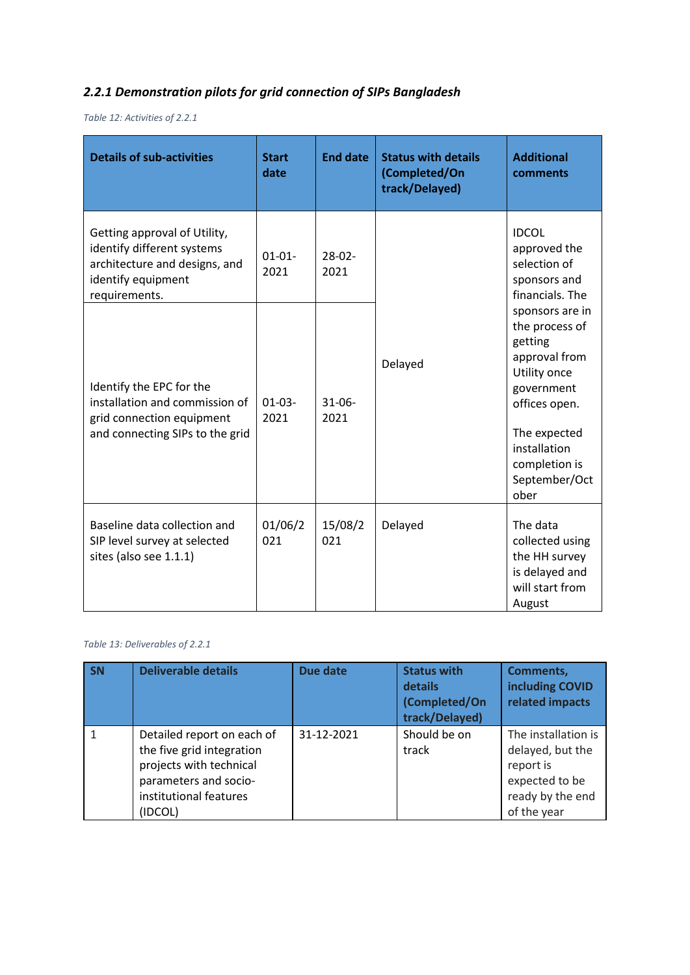# *2.2.1 Demonstration pilots for grid connection of SIPs Bangladesh*

*Table 12: Activities of 2.2.1*

| <b>Details of sub-activities</b>                                                                                                   | <b>Start</b><br>date | <b>End date</b>     | <b>Status with details</b><br>(Completed/On<br>track/Delayed) | <b>Additional</b><br>comments                                                                                                                                                          |
|------------------------------------------------------------------------------------------------------------------------------------|----------------------|---------------------|---------------------------------------------------------------|----------------------------------------------------------------------------------------------------------------------------------------------------------------------------------------|
| Getting approval of Utility,<br>identify different systems<br>architecture and designs, and<br>identify equipment<br>requirements. | $01 - 01 -$<br>2021  | $28-02-$<br>2021    |                                                               | <b>IDCOL</b><br>approved the<br>selection of<br>sponsors and<br>financials. The                                                                                                        |
| Identify the EPC for the<br>installation and commission of<br>grid connection equipment<br>and connecting SIPs to the grid         | $01 - 03 -$<br>2021  | $31 - 06 -$<br>2021 | Delayed                                                       | sponsors are in<br>the process of<br>getting<br>approval from<br>Utility once<br>government<br>offices open.<br>The expected<br>installation<br>completion is<br>September/Oct<br>ober |
| Baseline data collection and<br>SIP level survey at selected<br>sites (also see 1.1.1)                                             | 01/06/2<br>021       | 15/08/2<br>021      | Delayed                                                       | The data<br>collected using<br>the HH survey<br>is delayed and<br>will start from<br>August                                                                                            |

#### *Table 13: Deliverables of 2.2.1*

| SN | <b>Deliverable details</b>                                                                                                                       | <b>Due date</b> | <b>Status with</b><br>details<br>(Completed/On<br>track/Delayed) | <b>Comments,</b><br>including COVID<br>related impacts                                                    |
|----|--------------------------------------------------------------------------------------------------------------------------------------------------|-----------------|------------------------------------------------------------------|-----------------------------------------------------------------------------------------------------------|
|    | Detailed report on each of<br>the five grid integration<br>projects with technical<br>parameters and socio-<br>institutional features<br>(IDCOL) | 31-12-2021      | Should be on<br>track                                            | The installation is<br>delayed, but the<br>report is<br>expected to be<br>ready by the end<br>of the year |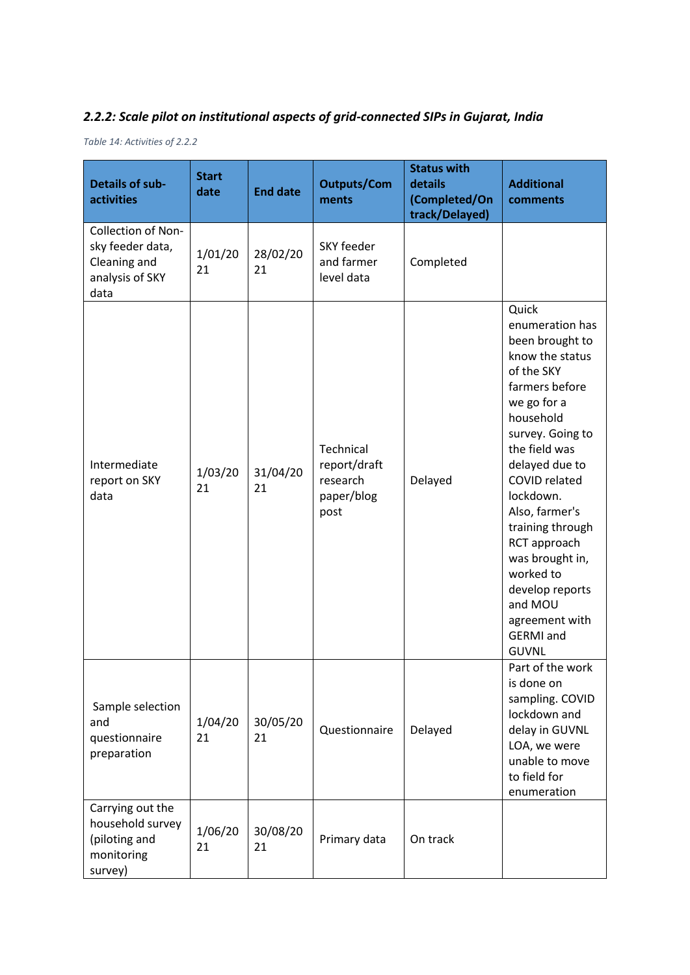## *2.2.2: Scale pilot on institutional aspects of grid-connected SIPs in Gujarat, India*

*Table 14: Activities of 2.2.2*

| <b>Details of sub-</b><br><b>activities</b>                                       | <b>Start</b><br>date | <b>End date</b> | <b>Outputs/Com</b><br>ments                                 | <b>Status with</b><br>details<br>(Completed/On<br>track/Delayed) | <b>Additional</b><br>comments                                                                                                                                                                                                                                                                                                                                                             |
|-----------------------------------------------------------------------------------|----------------------|-----------------|-------------------------------------------------------------|------------------------------------------------------------------|-------------------------------------------------------------------------------------------------------------------------------------------------------------------------------------------------------------------------------------------------------------------------------------------------------------------------------------------------------------------------------------------|
| Collection of Non-<br>sky feeder data,<br>Cleaning and<br>analysis of SKY<br>data | 1/01/20<br>21        | 28/02/20<br>21  | SKY feeder<br>and farmer<br>level data                      | Completed                                                        |                                                                                                                                                                                                                                                                                                                                                                                           |
| Intermediate<br>report on SKY<br>data                                             | 1/03/20<br>21        | 31/04/20<br>21  | Technical<br>report/draft<br>research<br>paper/blog<br>post | Delayed                                                          | Quick<br>enumeration has<br>been brought to<br>know the status<br>of the SKY<br>farmers before<br>we go for a<br>household<br>survey. Going to<br>the field was<br>delayed due to<br>COVID related<br>lockdown.<br>Also, farmer's<br>training through<br>RCT approach<br>was brought in,<br>worked to<br>develop reports<br>and MOU<br>agreement with<br><b>GERMI</b> and<br><b>GUVNL</b> |
| Sample selection<br>and<br>questionnaire<br>preparation                           | 1/04/20<br>21        | 30/05/20<br>21  | Questionnaire                                               | Delayed                                                          | Part of the work<br>is done on<br>sampling. COVID<br>lockdown and<br>delay in GUVNL<br>LOA, we were<br>unable to move<br>to field for<br>enumeration                                                                                                                                                                                                                                      |
| Carrying out the<br>household survey<br>(piloting and<br>monitoring<br>survey)    | 1/06/20<br>21        | 30/08/20<br>21  | Primary data                                                | On track                                                         |                                                                                                                                                                                                                                                                                                                                                                                           |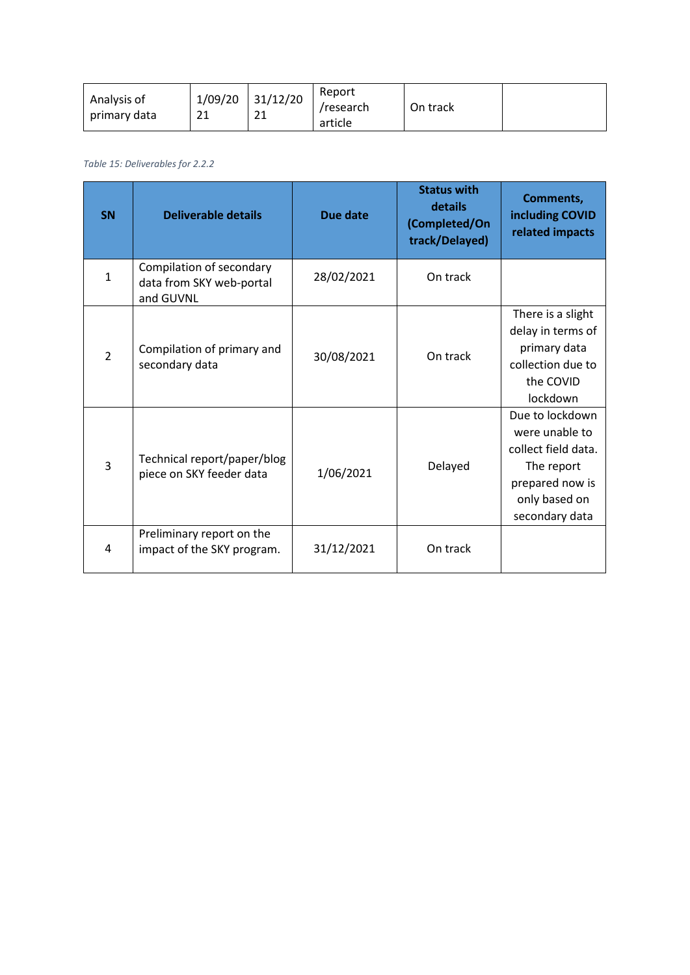| 31/12/20<br>1/09/20<br>Analysis of<br>21<br>ີາ<br>primary data<br>ᅀ<br>ᅀ | Report<br>/research<br>article | On track |  |
|--------------------------------------------------------------------------|--------------------------------|----------|--|
|--------------------------------------------------------------------------|--------------------------------|----------|--|

#### *Table 15: Deliverables for 2.2.2*

| <b>SN</b>      | <b>Deliverable details</b>                                        | Due date   | <b>Status with</b><br>details<br>(Completed/On<br>track/Delayed) | Comments,<br>including COVID<br>related impacts                                                                              |
|----------------|-------------------------------------------------------------------|------------|------------------------------------------------------------------|------------------------------------------------------------------------------------------------------------------------------|
| $\mathbf{1}$   | Compilation of secondary<br>data from SKY web-portal<br>and GUVNL | 28/02/2021 | On track                                                         |                                                                                                                              |
| $\overline{2}$ | Compilation of primary and<br>secondary data                      | 30/08/2021 | On track                                                         | There is a slight<br>delay in terms of<br>primary data<br>collection due to<br>the COVID<br>lockdown                         |
| $\overline{3}$ | Technical report/paper/blog<br>piece on SKY feeder data           | 1/06/2021  | Delayed                                                          | Due to lockdown<br>were unable to<br>collect field data.<br>The report<br>prepared now is<br>only based on<br>secondary data |
| 4              | Preliminary report on the<br>impact of the SKY program.           | 31/12/2021 | On track                                                         |                                                                                                                              |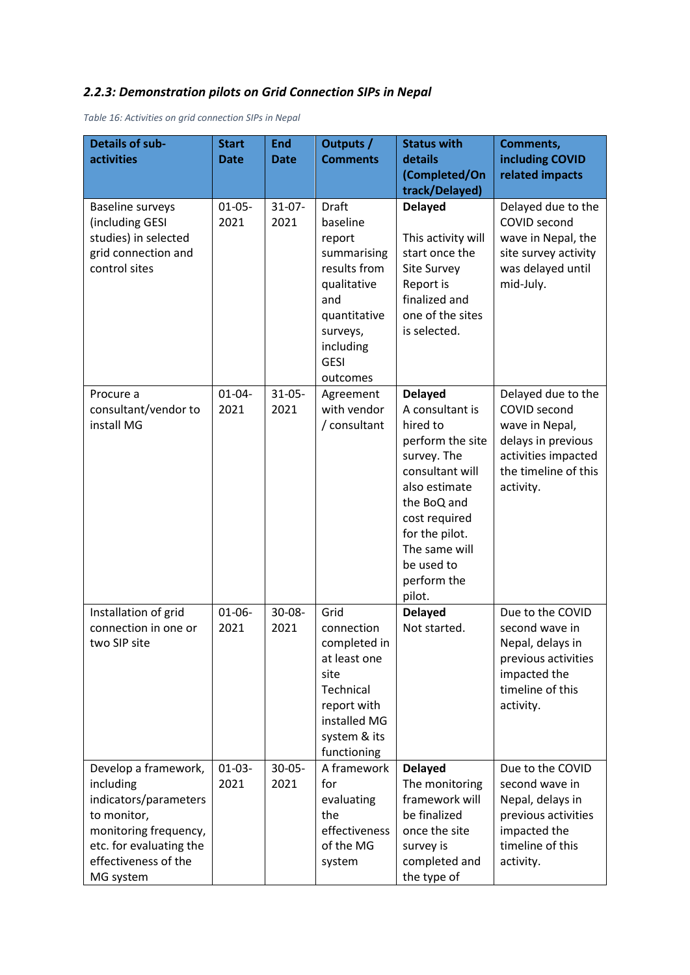## *2.2.3: Demonstration pilots on Grid Connection SIPs in Nepal*

*Table 16: Activities on grid connection SIPs in Nepal*

| <b>Details of sub-</b><br>activities                                                                                                                               | <b>Start</b><br><b>Date</b> | <b>End</b><br><b>Date</b> | <b>Outputs /</b><br><b>Comments</b>                                                                                                                  | <b>Status with</b><br>details<br>(Completed/On                                                                                                                                                                                 | Comments,<br>including COVID<br>related impacts                                                                                        |
|--------------------------------------------------------------------------------------------------------------------------------------------------------------------|-----------------------------|---------------------------|------------------------------------------------------------------------------------------------------------------------------------------------------|--------------------------------------------------------------------------------------------------------------------------------------------------------------------------------------------------------------------------------|----------------------------------------------------------------------------------------------------------------------------------------|
|                                                                                                                                                                    |                             |                           |                                                                                                                                                      | track/Delayed)                                                                                                                                                                                                                 |                                                                                                                                        |
| <b>Baseline surveys</b><br>(including GESI<br>studies) in selected<br>grid connection and<br>control sites                                                         | $01-05-$<br>2021            | $31-07-$<br>2021          | Draft<br>baseline<br>report<br>summarising<br>results from<br>qualitative<br>and<br>quantitative<br>surveys,<br>including<br><b>GESI</b><br>outcomes | <b>Delayed</b><br>This activity will<br>start once the<br>Site Survey<br>Report is<br>finalized and<br>one of the sites<br>is selected.                                                                                        | Delayed due to the<br>COVID second<br>wave in Nepal, the<br>site survey activity<br>was delayed until<br>mid-July.                     |
| Procure a<br>consultant/vendor to<br>install MG                                                                                                                    | $01 - 04 -$<br>2021         | $31 - 05 -$<br>2021       | Agreement<br>with vendor<br>/ consultant                                                                                                             | <b>Delayed</b><br>A consultant is<br>hired to<br>perform the site<br>survey. The<br>consultant will<br>also estimate<br>the BoQ and<br>cost required<br>for the pilot.<br>The same will<br>be used to<br>perform the<br>pilot. | Delayed due to the<br>COVID second<br>wave in Nepal,<br>delays in previous<br>activities impacted<br>the timeline of this<br>activity. |
| Installation of grid<br>connection in one or<br>two SIP site                                                                                                       | $01-06-$<br>2021            | $30 - 08 -$<br>2021       | Grid<br>connection<br>completed in<br>at least one<br>site<br>Technical<br>report with<br>installed MG<br>system & its<br>functioning                | <b>Delayed</b><br>Not started.                                                                                                                                                                                                 | Due to the COVID<br>second wave in<br>Nepal, delays in<br>previous activities<br>impacted the<br>timeline of this<br>activity.         |
| Develop a framework,<br>including<br>indicators/parameters<br>to monitor,<br>monitoring frequency,<br>etc. for evaluating the<br>effectiveness of the<br>MG system | $01-03-$<br>2021            | $30 - 05 -$<br>2021       | A framework<br>for<br>evaluating<br>the<br>effectiveness<br>of the MG<br>system                                                                      | <b>Delayed</b><br>The monitoring<br>framework will<br>be finalized<br>once the site<br>survey is<br>completed and<br>the type of                                                                                               | Due to the COVID<br>second wave in<br>Nepal, delays in<br>previous activities<br>impacted the<br>timeline of this<br>activity.         |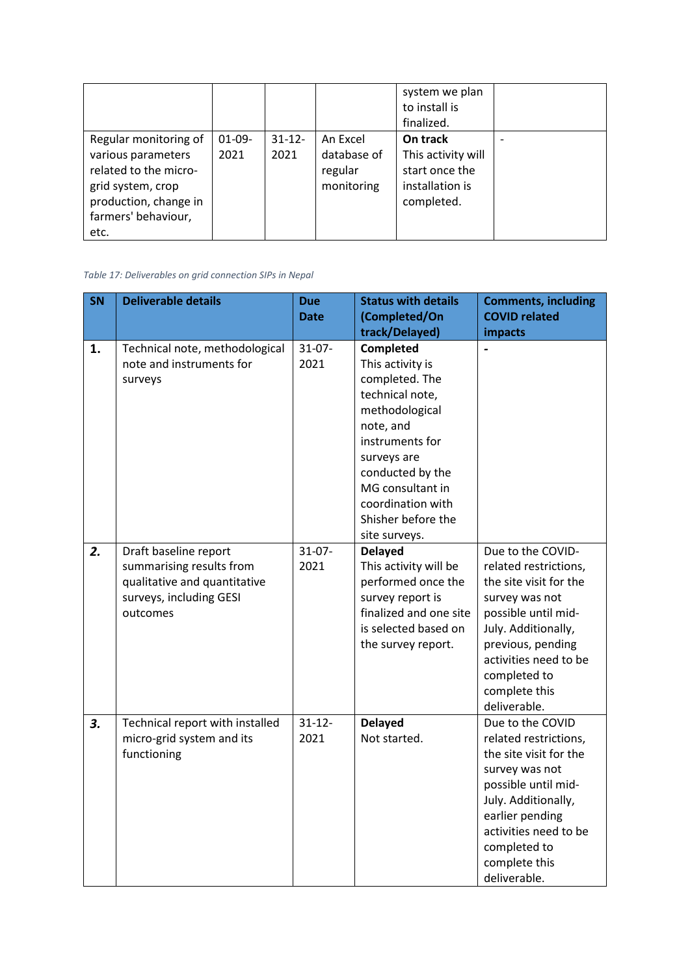|                                                                                                                                                   |                  |                   |                                                  | system we plan<br>to install is<br>finalized.                                     |  |
|---------------------------------------------------------------------------------------------------------------------------------------------------|------------------|-------------------|--------------------------------------------------|-----------------------------------------------------------------------------------|--|
| Regular monitoring of<br>various parameters<br>related to the micro-<br>grid system, crop<br>production, change in<br>farmers' behaviour,<br>etc. | $01-09-$<br>2021 | $31 - 12$<br>2021 | An Excel<br>database of<br>regular<br>monitoring | On track<br>This activity will<br>start once the<br>installation is<br>completed. |  |

*Table 17: Deliverables on grid connection SIPs in Nepal*

| SN | <b>Deliverable details</b>                                                                                               | <b>Due</b><br><b>Date</b> | <b>Status with details</b><br>(Completed/On                                                                                                                                                                                             | <b>Comments, including</b><br><b>COVID related</b>                                                                                                                                                                                  |
|----|--------------------------------------------------------------------------------------------------------------------------|---------------------------|-----------------------------------------------------------------------------------------------------------------------------------------------------------------------------------------------------------------------------------------|-------------------------------------------------------------------------------------------------------------------------------------------------------------------------------------------------------------------------------------|
|    |                                                                                                                          |                           | track/Delayed)                                                                                                                                                                                                                          | impacts                                                                                                                                                                                                                             |
| 1. | Technical note, methodological<br>note and instruments for<br>surveys                                                    | $31-07-$<br>2021          | Completed<br>This activity is<br>completed. The<br>technical note,<br>methodological<br>note, and<br>instruments for<br>surveys are<br>conducted by the<br>MG consultant in<br>coordination with<br>Shisher before the<br>site surveys. |                                                                                                                                                                                                                                     |
| 2. | Draft baseline report<br>summarising results from<br>qualitative and quantitative<br>surveys, including GESI<br>outcomes | $31-07-$<br>2021          | <b>Delayed</b><br>This activity will be<br>performed once the<br>survey report is<br>finalized and one site<br>is selected based on<br>the survey report.                                                                               | Due to the COVID-<br>related restrictions,<br>the site visit for the<br>survey was not<br>possible until mid-<br>July. Additionally,<br>previous, pending<br>activities need to be<br>completed to<br>complete this<br>deliverable. |
| 3. | Technical report with installed<br>micro-grid system and its<br>functioning                                              | $31 - 12 -$<br>2021       | <b>Delayed</b><br>Not started.                                                                                                                                                                                                          | Due to the COVID<br>related restrictions,<br>the site visit for the<br>survey was not<br>possible until mid-<br>July. Additionally,<br>earlier pending<br>activities need to be<br>completed to<br>complete this<br>deliverable.    |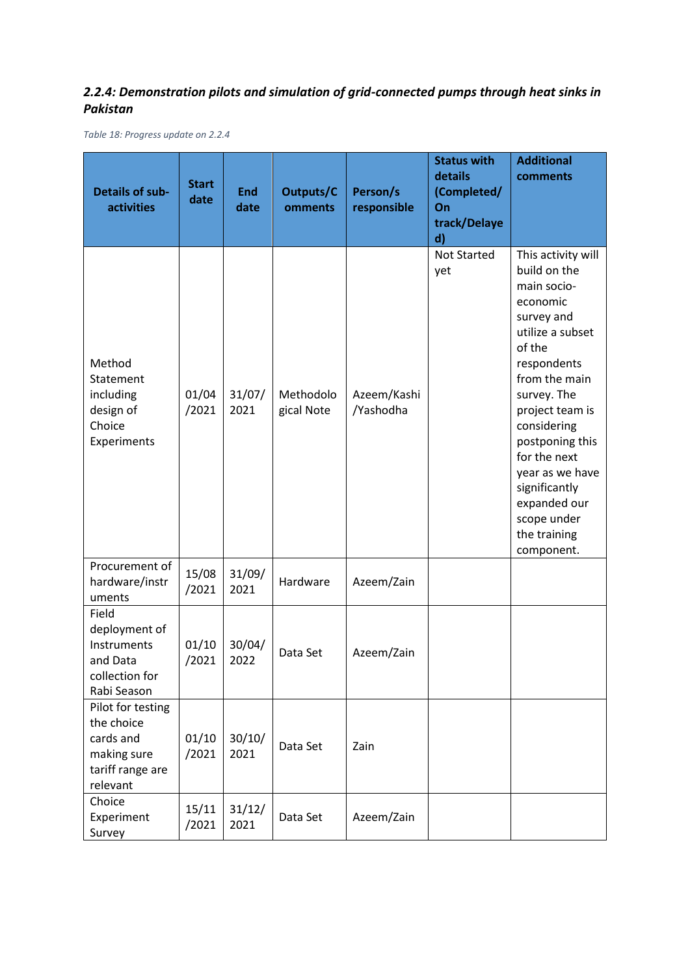## *2.2.4: Demonstration pilots and simulation of grid-connected pumps through heat sinks in Pakistan*

*Table 18: Progress update on 2.2.4*

| <b>Details of sub-</b><br><b>activities</b>                                                 | <b>Start</b><br>date | <b>End</b><br>date | Outputs/C<br>omments    | Person/s<br>responsible  | <b>Status with</b><br>details<br>(Completed/<br>On<br>track/Delaye<br>d) | <b>Additional</b><br>comments                                                                                                                                                                                                                                                                                                  |
|---------------------------------------------------------------------------------------------|----------------------|--------------------|-------------------------|--------------------------|--------------------------------------------------------------------------|--------------------------------------------------------------------------------------------------------------------------------------------------------------------------------------------------------------------------------------------------------------------------------------------------------------------------------|
| Method<br>Statement<br>including<br>design of<br>Choice<br>Experiments                      | 01/04<br>/2021       | 31/07/<br>2021     | Methodolo<br>gical Note | Azeem/Kashi<br>/Yashodha | <b>Not Started</b><br>yet                                                | This activity will<br>build on the<br>main socio-<br>economic<br>survey and<br>utilize a subset<br>of the<br>respondents<br>from the main<br>survey. The<br>project team is<br>considering<br>postponing this<br>for the next<br>year as we have<br>significantly<br>expanded our<br>scope under<br>the training<br>component. |
| Procurement of<br>hardware/instr<br>uments                                                  | 15/08<br>/2021       | 31/09/<br>2021     | Hardware                | Azeem/Zain               |                                                                          |                                                                                                                                                                                                                                                                                                                                |
| Field<br>deployment of<br>Instruments<br>and Data<br>collection for<br>Rabi Season          | 01/10<br>/2021       | 30/04/<br>2022     | Data Set                | Azeem/Zain               |                                                                          |                                                                                                                                                                                                                                                                                                                                |
| Pilot for testing<br>the choice<br>cards and<br>making sure<br>tariff range are<br>relevant | 01/10<br>/2021       | 30/10/<br>2021     | Data Set                | Zain                     |                                                                          |                                                                                                                                                                                                                                                                                                                                |
| Choice<br>Experiment<br>Survey                                                              | 15/11<br>/2021       | 31/12/<br>2021     | Data Set                | Azeem/Zain               |                                                                          |                                                                                                                                                                                                                                                                                                                                |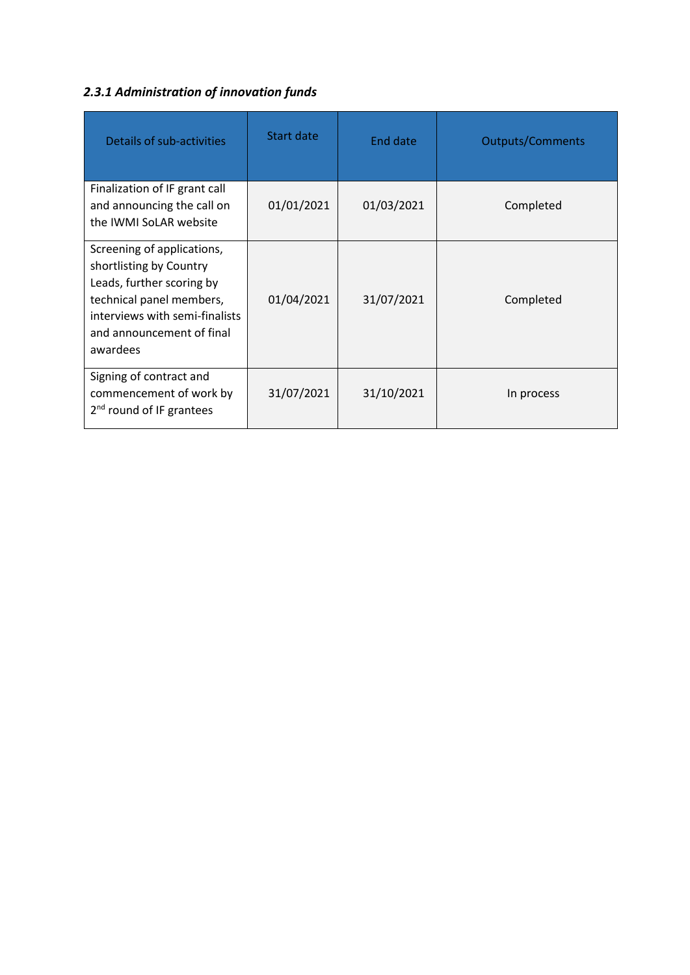# *2.3.1 Administration of innovation funds*

| Details of sub-activities                                                                                                                                                                 | Start date | End date   | <b>Outputs/Comments</b> |
|-------------------------------------------------------------------------------------------------------------------------------------------------------------------------------------------|------------|------------|-------------------------|
| Finalization of IF grant call<br>and announcing the call on<br>the IWMI SoLAR website                                                                                                     | 01/01/2021 | 01/03/2021 | Completed               |
| Screening of applications,<br>shortlisting by Country<br>Leads, further scoring by<br>technical panel members,<br>interviews with semi-finalists<br>and announcement of final<br>awardees | 01/04/2021 | 31/07/2021 | Completed               |
| Signing of contract and<br>commencement of work by<br>$2nd$ round of IF grantees                                                                                                          | 31/07/2021 | 31/10/2021 | In process              |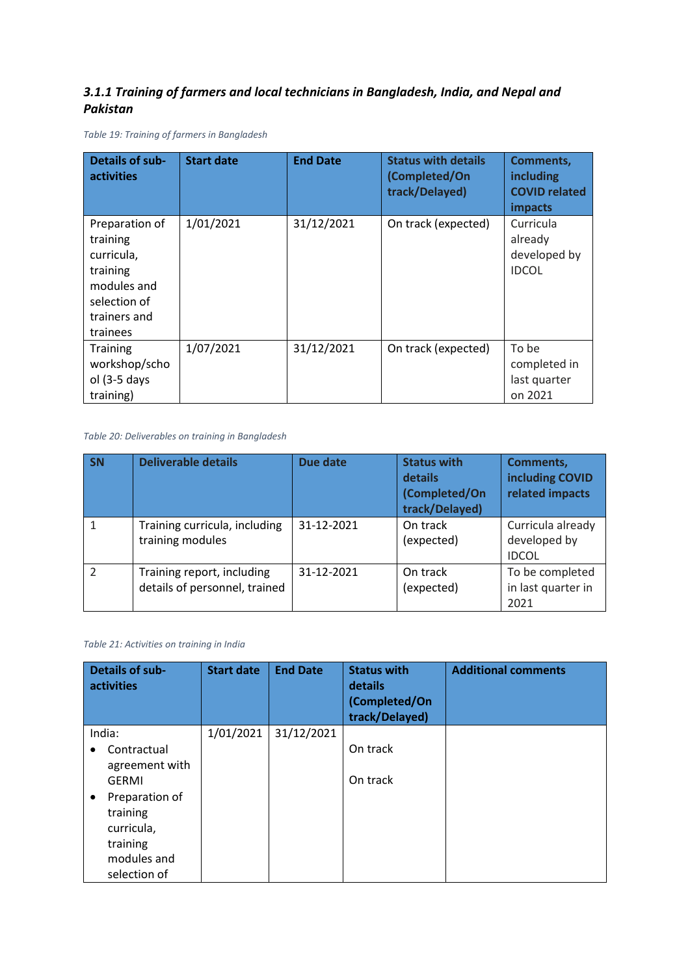### *3.1.1 Training of farmers and local technicians in Bangladesh, India, and Nepal and Pakistan*

*Table 19: Training of farmers in Bangladesh*

| <b>Details of sub-</b><br><b>activities</b>                                                                     | <b>Start date</b> | <b>End Date</b> | <b>Status with details</b><br>(Completed/On<br>track/Delayed) | <b>Comments,</b><br>including<br><b>COVID related</b><br><b>impacts</b> |
|-----------------------------------------------------------------------------------------------------------------|-------------------|-----------------|---------------------------------------------------------------|-------------------------------------------------------------------------|
| Preparation of<br>training<br>curricula,<br>training<br>modules and<br>selection of<br>trainers and<br>trainees | 1/01/2021         | 31/12/2021      | On track (expected)                                           | Curricula<br>already<br>developed by<br><b>IDCOL</b>                    |
| <b>Training</b><br>workshop/scho<br>ol $(3-5$ days<br>training)                                                 | 1/07/2021         | 31/12/2021      | On track (expected)                                           | To be<br>completed in<br>last quarter<br>on 2021                        |

*Table 20: Deliverables on training in Bangladesh*

| <b>SN</b>     | <b>Deliverable details</b>                                  | <b>Due date</b> | <b>Status with</b><br>details<br>(Completed/On<br>track/Delayed) | Comments,<br>including COVID<br>related impacts   |
|---------------|-------------------------------------------------------------|-----------------|------------------------------------------------------------------|---------------------------------------------------|
|               | Training curricula, including<br>training modules           | 31-12-2021      | On track<br>(expected)                                           | Curricula already<br>developed by<br><b>IDCOL</b> |
| $\mathcal{P}$ | Training report, including<br>details of personnel, trained | 31-12-2021      | On track<br>(expected)                                           | To be completed<br>in last quarter in<br>2021     |

#### *Table 21: Activities on training in India*

| <b>Details of sub-</b><br>activities | <b>Start date</b> | <b>End Date</b> | <b>Status with</b><br>details<br>(Completed/On<br>track/Delayed) | <b>Additional comments</b> |
|--------------------------------------|-------------------|-----------------|------------------------------------------------------------------|----------------------------|
| India:                               | 1/01/2021         | 31/12/2021      |                                                                  |                            |
| Contractual<br>٠                     |                   |                 | On track                                                         |                            |
| agreement with                       |                   |                 |                                                                  |                            |
| <b>GERMI</b>                         |                   |                 | On track                                                         |                            |
| Preparation of<br>$\bullet$          |                   |                 |                                                                  |                            |
| training                             |                   |                 |                                                                  |                            |
| curricula,                           |                   |                 |                                                                  |                            |
| training                             |                   |                 |                                                                  |                            |
| modules and                          |                   |                 |                                                                  |                            |
| selection of                         |                   |                 |                                                                  |                            |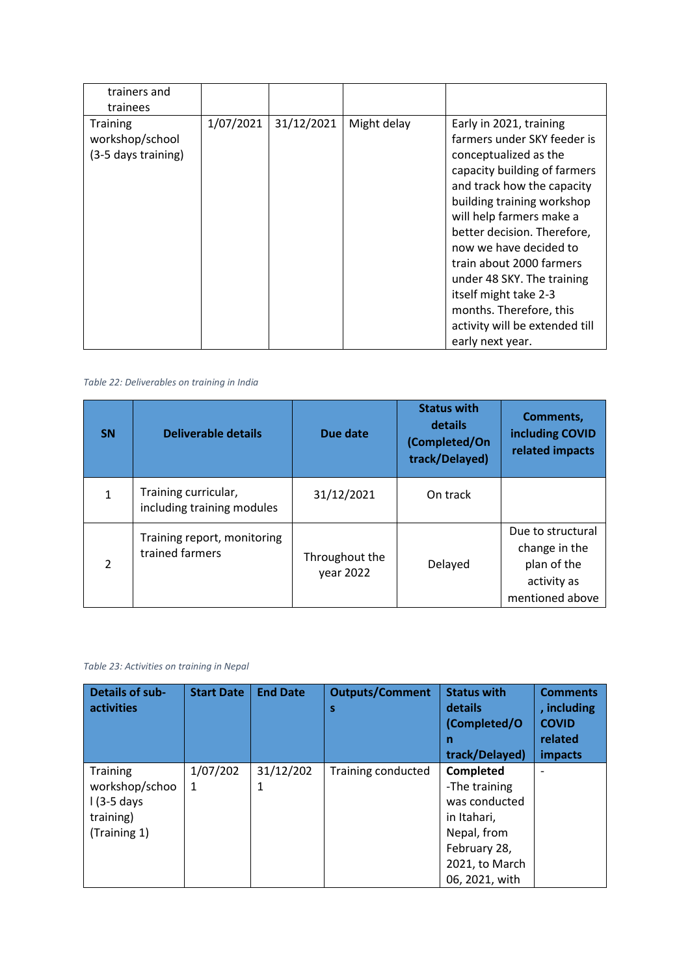| trainers and<br>trainees                                  |           |            |             |                                                                                                                                                                                                                                                                                                                                                                                                                                      |
|-----------------------------------------------------------|-----------|------------|-------------|--------------------------------------------------------------------------------------------------------------------------------------------------------------------------------------------------------------------------------------------------------------------------------------------------------------------------------------------------------------------------------------------------------------------------------------|
| <b>Training</b><br>workshop/school<br>(3-5 days training) | 1/07/2021 | 31/12/2021 | Might delay | Early in 2021, training<br>farmers under SKY feeder is<br>conceptualized as the<br>capacity building of farmers<br>and track how the capacity<br>building training workshop<br>will help farmers make a<br>better decision. Therefore,<br>now we have decided to<br>train about 2000 farmers<br>under 48 SKY. The training<br>itself might take 2-3<br>months. Therefore, this<br>activity will be extended till<br>early next year. |

*Table 22: Deliverables on training in India*

| <b>SN</b>      | Deliverable details                                | Due date                    | <b>Status with</b><br>details<br>(Completed/On<br>track/Delayed) | Comments,<br>including COVID<br>related impacts                                     |
|----------------|----------------------------------------------------|-----------------------------|------------------------------------------------------------------|-------------------------------------------------------------------------------------|
| 1              | Training curricular,<br>including training modules | 31/12/2021                  | On track                                                         |                                                                                     |
| $\mathfrak{p}$ | Training report, monitoring<br>trained farmers     | Throughout the<br>year 2022 | Delayed                                                          | Due to structural<br>change in the<br>plan of the<br>activity as<br>mentioned above |

*Table 23: Activities on training in Nepal*

| <b>Details of sub-</b><br><b>activities</b>                                     | <b>Start Date</b> | <b>End Date</b> | <b>Outputs/Comment</b><br>S | <b>Status with</b><br>details<br>(Completed/O<br>n<br>track/Delayed)                                                                 | <b>Comments</b><br>, including<br><b>COVID</b><br>related<br>impacts |
|---------------------------------------------------------------------------------|-------------------|-----------------|-----------------------------|--------------------------------------------------------------------------------------------------------------------------------------|----------------------------------------------------------------------|
| <b>Training</b><br>workshop/schoo<br>$1(3-5)$ days<br>training)<br>(Training 1) | 1/07/202<br>1     | 31/12/202<br>1  | <b>Training conducted</b>   | <b>Completed</b><br>-The training<br>was conducted<br>in Itahari,<br>Nepal, from<br>February 28,<br>2021, to March<br>06, 2021, with |                                                                      |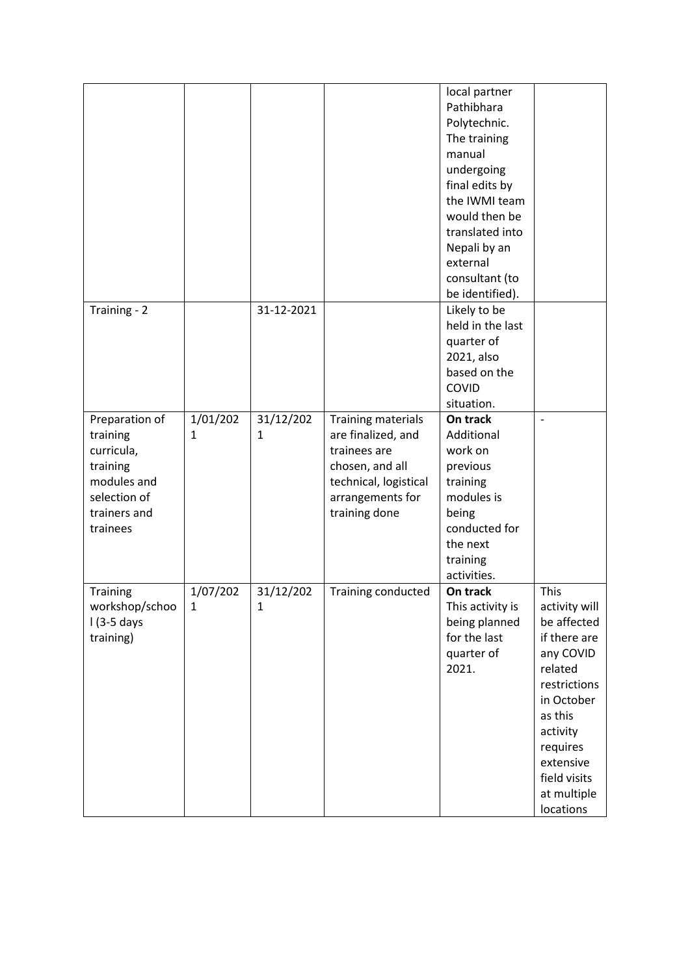|                |              |              |                       | local partner    |                |
|----------------|--------------|--------------|-----------------------|------------------|----------------|
|                |              |              |                       | Pathibhara       |                |
|                |              |              |                       | Polytechnic.     |                |
|                |              |              |                       | The training     |                |
|                |              |              |                       | manual           |                |
|                |              |              |                       | undergoing       |                |
|                |              |              |                       | final edits by   |                |
|                |              |              |                       | the IWMI team    |                |
|                |              |              |                       | would then be    |                |
|                |              |              |                       | translated into  |                |
|                |              |              |                       | Nepali by an     |                |
|                |              |              |                       | external         |                |
|                |              |              |                       | consultant (to   |                |
|                |              |              |                       | be identified).  |                |
| Training - 2   |              | 31-12-2021   |                       | Likely to be     |                |
|                |              |              |                       | held in the last |                |
|                |              |              |                       | quarter of       |                |
|                |              |              |                       | 2021, also       |                |
|                |              |              |                       | based on the     |                |
|                |              |              |                       | COVID            |                |
|                |              |              |                       | situation.       |                |
| Preparation of | 1/01/202     | 31/12/202    | Training materials    | On track         | $\overline{a}$ |
| training       | 1            | 1            | are finalized, and    | Additional       |                |
| curricula,     |              |              | trainees are          | work on          |                |
| training       |              |              | chosen, and all       | previous         |                |
| modules and    |              |              | technical, logistical | training         |                |
| selection of   |              |              | arrangements for      | modules is       |                |
| trainers and   |              |              | training done         | being            |                |
| trainees       |              |              |                       | conducted for    |                |
|                |              |              |                       | the next         |                |
|                |              |              |                       | training         |                |
|                |              |              |                       | activities.      |                |
| Training       | 1/07/202     | 31/12/202    | Training conducted    | On track         | This           |
| workshop/schoo | $\mathbf{1}$ | $\mathbf{1}$ |                       | This activity is | activity will  |
| $1(3-5)$ days  |              |              |                       | being planned    | be affected    |
| training)      |              |              |                       | for the last     | if there are   |
|                |              |              |                       | quarter of       | any COVID      |
|                |              |              |                       | 2021.            | related        |
|                |              |              |                       |                  | restrictions   |
|                |              |              |                       |                  | in October     |
|                |              |              |                       |                  | as this        |
|                |              |              |                       |                  | activity       |
|                |              |              |                       |                  | requires       |
|                |              |              |                       |                  | extensive      |
|                |              |              |                       |                  | field visits   |
|                |              |              |                       |                  | at multiple    |
|                |              |              |                       |                  | locations      |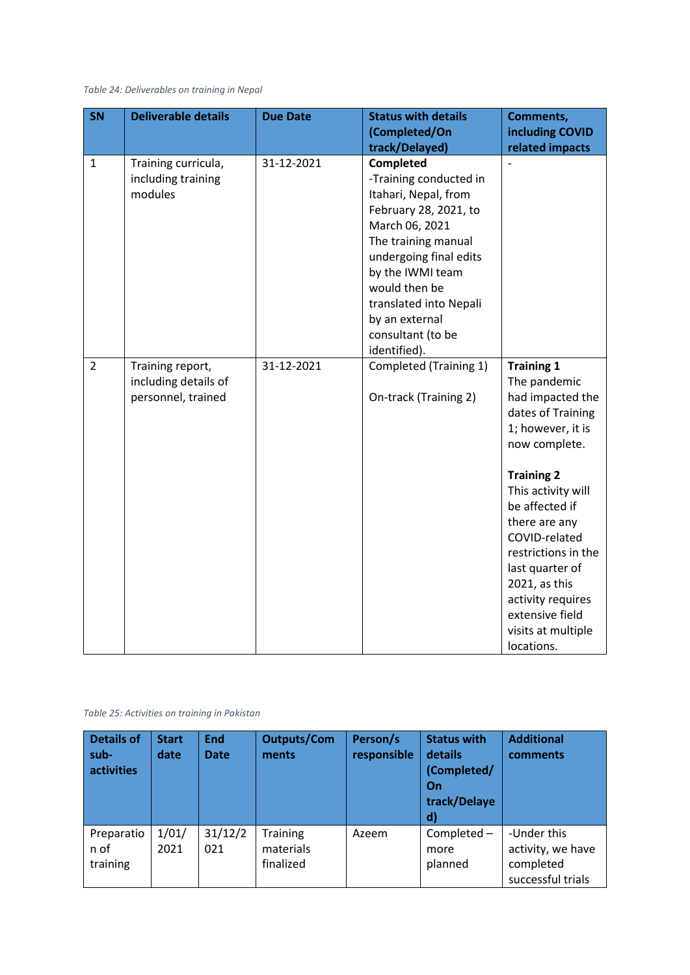*Table 24: Deliverables on training in Nepal*

| <b>SN</b>      | <b>Deliverable details</b>                                     | <b>Due Date</b> | <b>Status with details</b>                                                                                                                                                                                             | Comments,                                                                                                                                                                                                                                                                                                                                              |
|----------------|----------------------------------------------------------------|-----------------|------------------------------------------------------------------------------------------------------------------------------------------------------------------------------------------------------------------------|--------------------------------------------------------------------------------------------------------------------------------------------------------------------------------------------------------------------------------------------------------------------------------------------------------------------------------------------------------|
|                |                                                                |                 | (Completed/On                                                                                                                                                                                                          | including COVID                                                                                                                                                                                                                                                                                                                                        |
|                |                                                                |                 | track/Delayed)                                                                                                                                                                                                         | related impacts                                                                                                                                                                                                                                                                                                                                        |
| $\mathbf{1}$   | Training curricula,<br>including training<br>modules           | 31-12-2021      | Completed<br>-Training conducted in<br>Itahari, Nepal, from<br>February 28, 2021, to<br>March 06, 2021<br>The training manual<br>undergoing final edits<br>by the IWMI team<br>would then be<br>translated into Nepali |                                                                                                                                                                                                                                                                                                                                                        |
|                |                                                                |                 | by an external<br>consultant (to be<br>identified).                                                                                                                                                                    |                                                                                                                                                                                                                                                                                                                                                        |
| $\overline{2}$ | Training report,<br>including details of<br>personnel, trained | 31-12-2021      | Completed (Training 1)<br>On-track (Training 2)                                                                                                                                                                        | <b>Training 1</b><br>The pandemic<br>had impacted the<br>dates of Training<br>1; however, it is<br>now complete.<br><b>Training 2</b><br>This activity will<br>be affected if<br>there are any<br>COVID-related<br>restrictions in the<br>last quarter of<br>2021, as this<br>activity requires<br>extensive field<br>visits at multiple<br>locations. |

#### *Table 25: Activities on training in Pakistan*

| <b>Details of</b><br>sub-<br>activities | <b>Start</b><br>date | <b>End</b><br><b>Date</b> | <b>Outputs/Com</b><br>ments        | Person/s<br>responsible | <b>Status with</b><br>details<br>(Completed/<br>On<br>track/Delaye<br>$\mathbf{d}$ | <b>Additional</b><br>comments                                      |
|-----------------------------------------|----------------------|---------------------------|------------------------------------|-------------------------|------------------------------------------------------------------------------------|--------------------------------------------------------------------|
| Preparatio<br>n of<br>training          | 1/01/<br>2021        | 31/12/2<br>021            | Training<br>materials<br>finalized | Azeem                   | Completed-<br>more<br>planned                                                      | -Under this<br>activity, we have<br>completed<br>successful trials |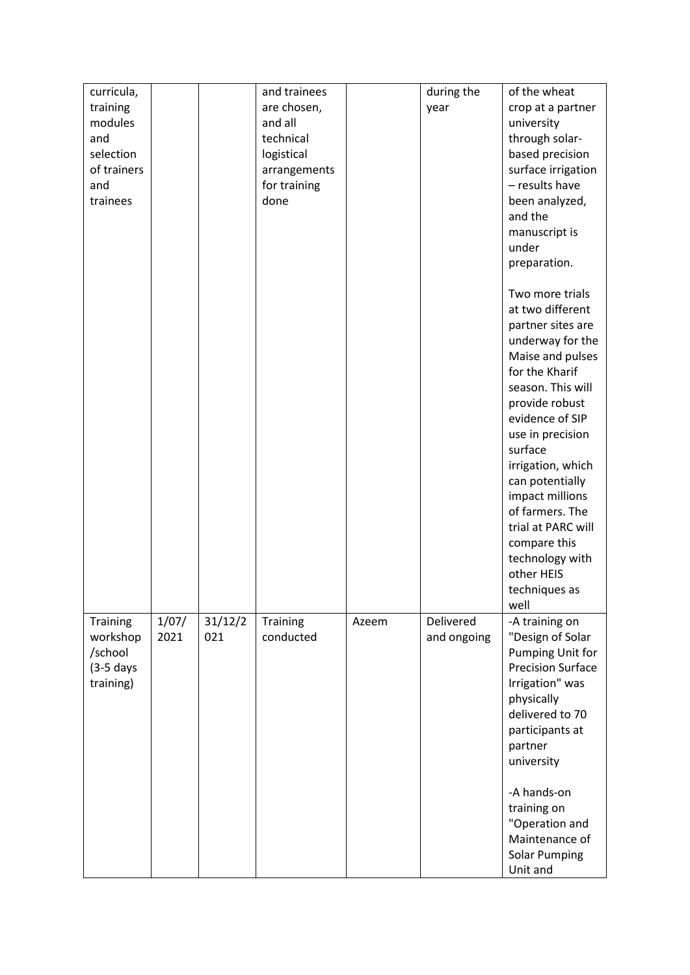| are chosen,<br>training<br>crop at a partner<br>year<br>modules<br>and all<br>university<br>technical<br>through solar-<br>and<br>selection<br>logistical<br>based precision<br>of trainers<br>surface irrigation<br>arrangements<br>- results have<br>for training<br>and<br>trainees<br>done<br>been analyzed,<br>and the<br>manuscript is<br>under<br>preparation.<br>Two more trials<br>at two different<br>partner sites are<br>underway for the<br>Maise and pulses<br>for the Kharif<br>season. This will<br>provide robust<br>evidence of SIP<br>use in precision<br>surface<br>irrigation, which<br>can potentially<br>impact millions<br>of farmers. The<br>trial at PARC will<br>compare this<br>technology with<br>other HEIS<br>techniques as<br>well<br>1/07/<br>31/12/2<br>Delivered<br>Training<br>Training<br>-A training on<br>Azeem<br>2021<br>021<br>"Design of Solar<br>workshop<br>conducted<br>and ongoing<br>/school<br>Pumping Unit for<br><b>Precision Surface</b><br>$(3-5$ days<br>Irrigation" was<br>training)<br>physically<br>delivered to 70<br>participants at<br>partner<br>university<br>-A hands-on<br>training on<br>"Operation and | curricula, |  | and trainees | during the | of the wheat   |
|--------------------------------------------------------------------------------------------------------------------------------------------------------------------------------------------------------------------------------------------------------------------------------------------------------------------------------------------------------------------------------------------------------------------------------------------------------------------------------------------------------------------------------------------------------------------------------------------------------------------------------------------------------------------------------------------------------------------------------------------------------------------------------------------------------------------------------------------------------------------------------------------------------------------------------------------------------------------------------------------------------------------------------------------------------------------------------------------------------------------------------------------------------------------------|------------|--|--------------|------------|----------------|
|                                                                                                                                                                                                                                                                                                                                                                                                                                                                                                                                                                                                                                                                                                                                                                                                                                                                                                                                                                                                                                                                                                                                                                          |            |  |              |            |                |
|                                                                                                                                                                                                                                                                                                                                                                                                                                                                                                                                                                                                                                                                                                                                                                                                                                                                                                                                                                                                                                                                                                                                                                          |            |  |              |            |                |
|                                                                                                                                                                                                                                                                                                                                                                                                                                                                                                                                                                                                                                                                                                                                                                                                                                                                                                                                                                                                                                                                                                                                                                          |            |  |              |            |                |
|                                                                                                                                                                                                                                                                                                                                                                                                                                                                                                                                                                                                                                                                                                                                                                                                                                                                                                                                                                                                                                                                                                                                                                          |            |  |              |            |                |
|                                                                                                                                                                                                                                                                                                                                                                                                                                                                                                                                                                                                                                                                                                                                                                                                                                                                                                                                                                                                                                                                                                                                                                          |            |  |              |            |                |
|                                                                                                                                                                                                                                                                                                                                                                                                                                                                                                                                                                                                                                                                                                                                                                                                                                                                                                                                                                                                                                                                                                                                                                          |            |  |              |            |                |
|                                                                                                                                                                                                                                                                                                                                                                                                                                                                                                                                                                                                                                                                                                                                                                                                                                                                                                                                                                                                                                                                                                                                                                          |            |  |              |            |                |
|                                                                                                                                                                                                                                                                                                                                                                                                                                                                                                                                                                                                                                                                                                                                                                                                                                                                                                                                                                                                                                                                                                                                                                          |            |  |              |            |                |
|                                                                                                                                                                                                                                                                                                                                                                                                                                                                                                                                                                                                                                                                                                                                                                                                                                                                                                                                                                                                                                                                                                                                                                          |            |  |              |            |                |
|                                                                                                                                                                                                                                                                                                                                                                                                                                                                                                                                                                                                                                                                                                                                                                                                                                                                                                                                                                                                                                                                                                                                                                          |            |  |              |            |                |
|                                                                                                                                                                                                                                                                                                                                                                                                                                                                                                                                                                                                                                                                                                                                                                                                                                                                                                                                                                                                                                                                                                                                                                          |            |  |              |            |                |
|                                                                                                                                                                                                                                                                                                                                                                                                                                                                                                                                                                                                                                                                                                                                                                                                                                                                                                                                                                                                                                                                                                                                                                          |            |  |              |            |                |
|                                                                                                                                                                                                                                                                                                                                                                                                                                                                                                                                                                                                                                                                                                                                                                                                                                                                                                                                                                                                                                                                                                                                                                          |            |  |              |            |                |
|                                                                                                                                                                                                                                                                                                                                                                                                                                                                                                                                                                                                                                                                                                                                                                                                                                                                                                                                                                                                                                                                                                                                                                          |            |  |              |            |                |
|                                                                                                                                                                                                                                                                                                                                                                                                                                                                                                                                                                                                                                                                                                                                                                                                                                                                                                                                                                                                                                                                                                                                                                          |            |  |              |            |                |
|                                                                                                                                                                                                                                                                                                                                                                                                                                                                                                                                                                                                                                                                                                                                                                                                                                                                                                                                                                                                                                                                                                                                                                          |            |  |              |            |                |
|                                                                                                                                                                                                                                                                                                                                                                                                                                                                                                                                                                                                                                                                                                                                                                                                                                                                                                                                                                                                                                                                                                                                                                          |            |  |              |            |                |
|                                                                                                                                                                                                                                                                                                                                                                                                                                                                                                                                                                                                                                                                                                                                                                                                                                                                                                                                                                                                                                                                                                                                                                          |            |  |              |            |                |
|                                                                                                                                                                                                                                                                                                                                                                                                                                                                                                                                                                                                                                                                                                                                                                                                                                                                                                                                                                                                                                                                                                                                                                          |            |  |              |            |                |
|                                                                                                                                                                                                                                                                                                                                                                                                                                                                                                                                                                                                                                                                                                                                                                                                                                                                                                                                                                                                                                                                                                                                                                          |            |  |              |            |                |
|                                                                                                                                                                                                                                                                                                                                                                                                                                                                                                                                                                                                                                                                                                                                                                                                                                                                                                                                                                                                                                                                                                                                                                          |            |  |              |            |                |
|                                                                                                                                                                                                                                                                                                                                                                                                                                                                                                                                                                                                                                                                                                                                                                                                                                                                                                                                                                                                                                                                                                                                                                          |            |  |              |            |                |
|                                                                                                                                                                                                                                                                                                                                                                                                                                                                                                                                                                                                                                                                                                                                                                                                                                                                                                                                                                                                                                                                                                                                                                          |            |  |              |            |                |
|                                                                                                                                                                                                                                                                                                                                                                                                                                                                                                                                                                                                                                                                                                                                                                                                                                                                                                                                                                                                                                                                                                                                                                          |            |  |              |            |                |
|                                                                                                                                                                                                                                                                                                                                                                                                                                                                                                                                                                                                                                                                                                                                                                                                                                                                                                                                                                                                                                                                                                                                                                          |            |  |              |            |                |
|                                                                                                                                                                                                                                                                                                                                                                                                                                                                                                                                                                                                                                                                                                                                                                                                                                                                                                                                                                                                                                                                                                                                                                          |            |  |              |            |                |
|                                                                                                                                                                                                                                                                                                                                                                                                                                                                                                                                                                                                                                                                                                                                                                                                                                                                                                                                                                                                                                                                                                                                                                          |            |  |              |            |                |
|                                                                                                                                                                                                                                                                                                                                                                                                                                                                                                                                                                                                                                                                                                                                                                                                                                                                                                                                                                                                                                                                                                                                                                          |            |  |              |            |                |
|                                                                                                                                                                                                                                                                                                                                                                                                                                                                                                                                                                                                                                                                                                                                                                                                                                                                                                                                                                                                                                                                                                                                                                          |            |  |              |            |                |
|                                                                                                                                                                                                                                                                                                                                                                                                                                                                                                                                                                                                                                                                                                                                                                                                                                                                                                                                                                                                                                                                                                                                                                          |            |  |              |            |                |
|                                                                                                                                                                                                                                                                                                                                                                                                                                                                                                                                                                                                                                                                                                                                                                                                                                                                                                                                                                                                                                                                                                                                                                          |            |  |              |            |                |
|                                                                                                                                                                                                                                                                                                                                                                                                                                                                                                                                                                                                                                                                                                                                                                                                                                                                                                                                                                                                                                                                                                                                                                          |            |  |              |            |                |
|                                                                                                                                                                                                                                                                                                                                                                                                                                                                                                                                                                                                                                                                                                                                                                                                                                                                                                                                                                                                                                                                                                                                                                          |            |  |              |            |                |
|                                                                                                                                                                                                                                                                                                                                                                                                                                                                                                                                                                                                                                                                                                                                                                                                                                                                                                                                                                                                                                                                                                                                                                          |            |  |              |            |                |
|                                                                                                                                                                                                                                                                                                                                                                                                                                                                                                                                                                                                                                                                                                                                                                                                                                                                                                                                                                                                                                                                                                                                                                          |            |  |              |            |                |
|                                                                                                                                                                                                                                                                                                                                                                                                                                                                                                                                                                                                                                                                                                                                                                                                                                                                                                                                                                                                                                                                                                                                                                          |            |  |              |            |                |
|                                                                                                                                                                                                                                                                                                                                                                                                                                                                                                                                                                                                                                                                                                                                                                                                                                                                                                                                                                                                                                                                                                                                                                          |            |  |              |            |                |
|                                                                                                                                                                                                                                                                                                                                                                                                                                                                                                                                                                                                                                                                                                                                                                                                                                                                                                                                                                                                                                                                                                                                                                          |            |  |              |            |                |
|                                                                                                                                                                                                                                                                                                                                                                                                                                                                                                                                                                                                                                                                                                                                                                                                                                                                                                                                                                                                                                                                                                                                                                          |            |  |              |            |                |
|                                                                                                                                                                                                                                                                                                                                                                                                                                                                                                                                                                                                                                                                                                                                                                                                                                                                                                                                                                                                                                                                                                                                                                          |            |  |              |            |                |
|                                                                                                                                                                                                                                                                                                                                                                                                                                                                                                                                                                                                                                                                                                                                                                                                                                                                                                                                                                                                                                                                                                                                                                          |            |  |              |            |                |
|                                                                                                                                                                                                                                                                                                                                                                                                                                                                                                                                                                                                                                                                                                                                                                                                                                                                                                                                                                                                                                                                                                                                                                          |            |  |              |            |                |
|                                                                                                                                                                                                                                                                                                                                                                                                                                                                                                                                                                                                                                                                                                                                                                                                                                                                                                                                                                                                                                                                                                                                                                          |            |  |              |            |                |
|                                                                                                                                                                                                                                                                                                                                                                                                                                                                                                                                                                                                                                                                                                                                                                                                                                                                                                                                                                                                                                                                                                                                                                          |            |  |              |            |                |
|                                                                                                                                                                                                                                                                                                                                                                                                                                                                                                                                                                                                                                                                                                                                                                                                                                                                                                                                                                                                                                                                                                                                                                          |            |  |              |            |                |
|                                                                                                                                                                                                                                                                                                                                                                                                                                                                                                                                                                                                                                                                                                                                                                                                                                                                                                                                                                                                                                                                                                                                                                          |            |  |              |            |                |
|                                                                                                                                                                                                                                                                                                                                                                                                                                                                                                                                                                                                                                                                                                                                                                                                                                                                                                                                                                                                                                                                                                                                                                          |            |  |              |            |                |
|                                                                                                                                                                                                                                                                                                                                                                                                                                                                                                                                                                                                                                                                                                                                                                                                                                                                                                                                                                                                                                                                                                                                                                          |            |  |              |            | Maintenance of |
| <b>Solar Pumping</b>                                                                                                                                                                                                                                                                                                                                                                                                                                                                                                                                                                                                                                                                                                                                                                                                                                                                                                                                                                                                                                                                                                                                                     |            |  |              |            |                |
| Unit and                                                                                                                                                                                                                                                                                                                                                                                                                                                                                                                                                                                                                                                                                                                                                                                                                                                                                                                                                                                                                                                                                                                                                                 |            |  |              |            |                |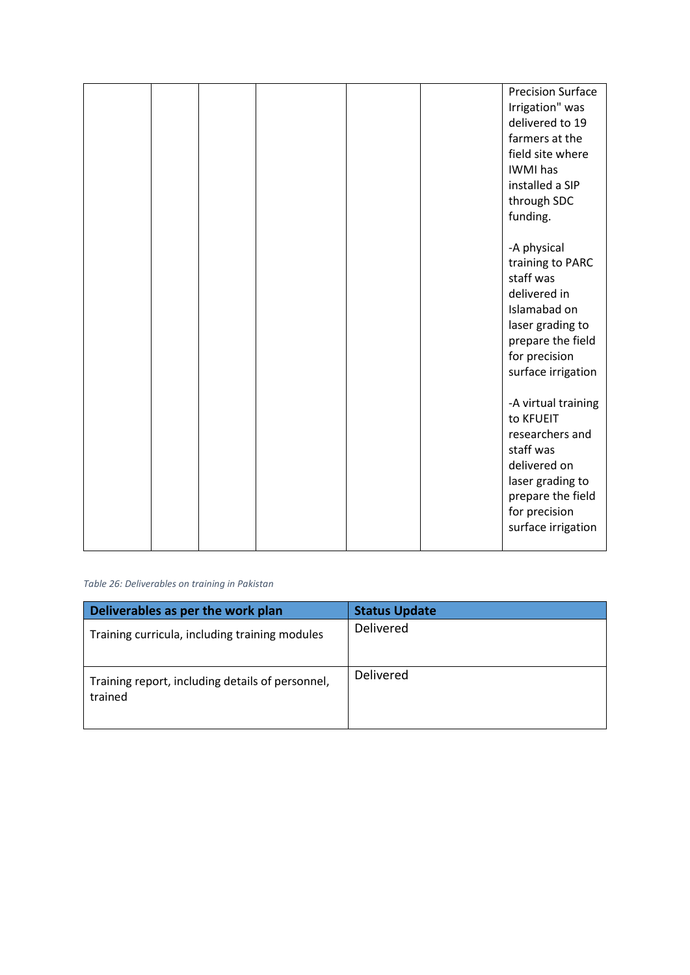|  |  | <b>Precision Surface</b><br>Irrigation" was<br>delivered to 19<br>farmers at the<br>field site where<br>IWMI has<br>installed a SIP<br>through SDC<br>funding.   |
|--|--|------------------------------------------------------------------------------------------------------------------------------------------------------------------|
|  |  | -A physical<br>training to PARC<br>staff was<br>delivered in<br>Islamabad on<br>laser grading to<br>prepare the field<br>for precision<br>surface irrigation     |
|  |  | -A virtual training<br>to KFUEIT<br>researchers and<br>staff was<br>delivered on<br>laser grading to<br>prepare the field<br>for precision<br>surface irrigation |

*Table 26: Deliverables on training in Pakistan*

| Deliverables as per the work plan                           | <b>Status Update</b> |
|-------------------------------------------------------------|----------------------|
| Training curricula, including training modules              | Delivered            |
| Training report, including details of personnel,<br>trained | <b>Delivered</b>     |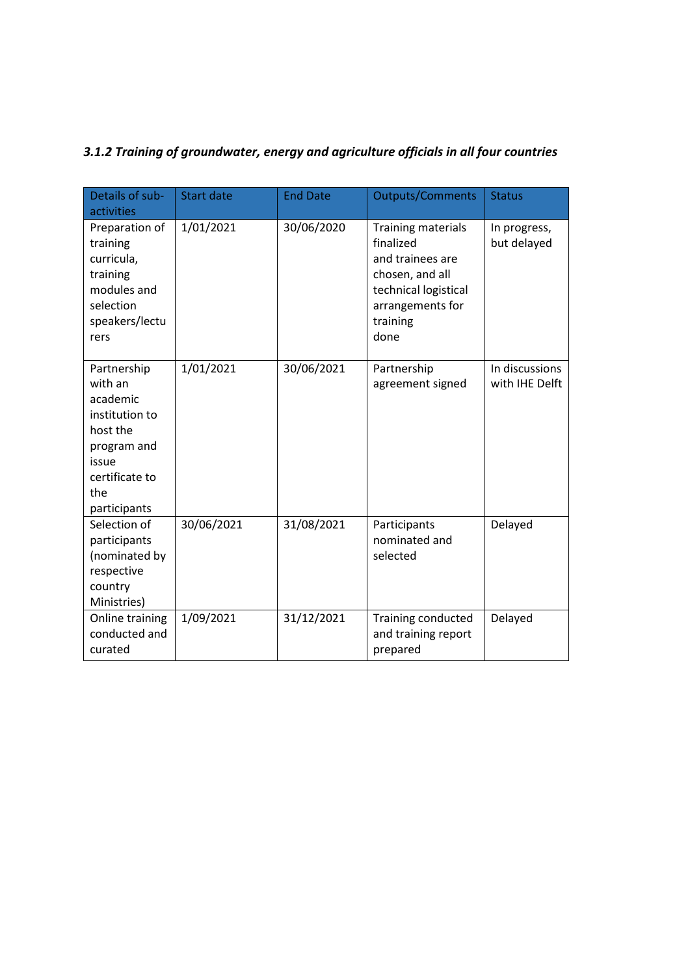# *3.1.2 Training of groundwater, energy and agriculture officials in all four countries*

| Details of sub-<br>activities                                                                                                     | <b>Start date</b> | <b>End Date</b> | <b>Outputs/Comments</b>                                                                                                                       | <b>Status</b>                    |
|-----------------------------------------------------------------------------------------------------------------------------------|-------------------|-----------------|-----------------------------------------------------------------------------------------------------------------------------------------------|----------------------------------|
| Preparation of<br>training<br>curricula,<br>training<br>modules and<br>selection<br>speakers/lectu<br>rers                        | 1/01/2021         | 30/06/2020      | <b>Training materials</b><br>finalized<br>and trainees are<br>chosen, and all<br>technical logistical<br>arrangements for<br>training<br>done | In progress,<br>but delayed      |
| Partnership<br>with an<br>academic<br>institution to<br>host the<br>program and<br>issue<br>certificate to<br>the<br>participants | 1/01/2021         | 30/06/2021      | Partnership<br>agreement signed                                                                                                               | In discussions<br>with IHE Delft |
| Selection of<br>participants<br>(nominated by<br>respective<br>country<br>Ministries)                                             | 30/06/2021        | 31/08/2021      | Participants<br>nominated and<br>selected                                                                                                     | Delayed                          |
| Online training<br>conducted and<br>curated                                                                                       | 1/09/2021         | 31/12/2021      | Training conducted<br>and training report<br>prepared                                                                                         | Delayed                          |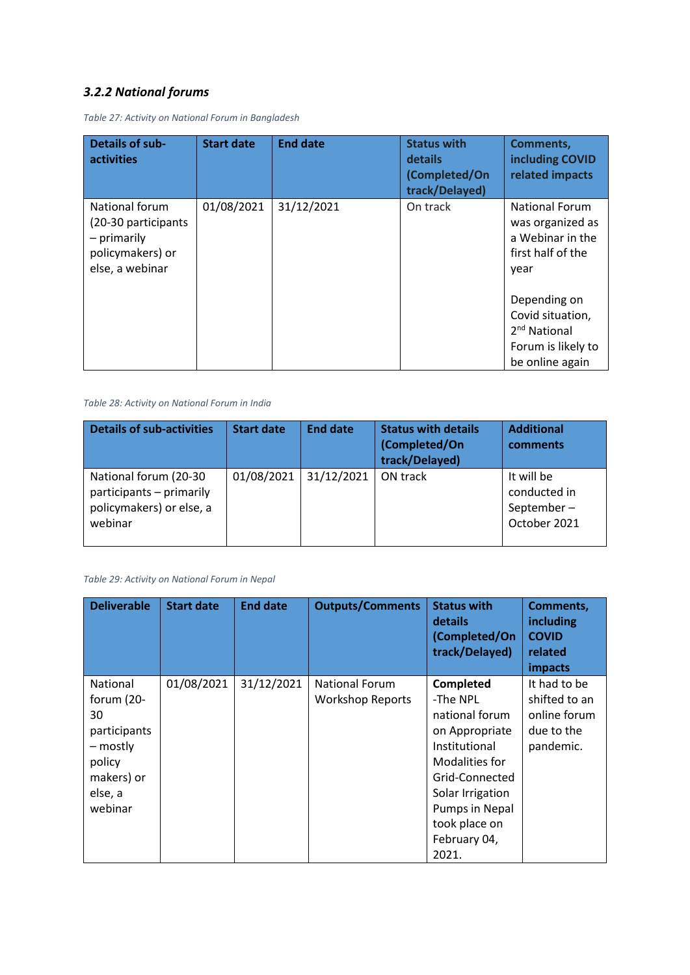## *3.2.2 National forums*

| <b>Details of sub-</b><br><b>activities</b>                                                  | <b>Start date</b> | <b>End date</b> | <b>Status with</b><br>details<br>(Completed/On<br>track/Delayed) | <b>Comments,</b><br>including COVID<br>related impacts                                                |
|----------------------------------------------------------------------------------------------|-------------------|-----------------|------------------------------------------------------------------|-------------------------------------------------------------------------------------------------------|
| National forum<br>(20-30 participants)<br>- primarily<br>policymakers) or<br>else, a webinar | 01/08/2021        | 31/12/2021      | On track                                                         | <b>National Forum</b><br>was organized as<br>a Webinar in the<br>first half of the<br>year            |
|                                                                                              |                   |                 |                                                                  | Depending on<br>Covid situation,<br>2 <sup>nd</sup> National<br>Forum is likely to<br>be online again |

*Table 27: Activity on National Forum in Bangladesh*

#### *Table 28: Activity on National Forum in India*

| <b>Details of sub-activities</b>                                                         | <b>Start date</b> | <b>End date</b> | <b>Status with details</b><br>(Completed/On<br>track/Delayed) | <b>Additional</b><br>comments                            |
|------------------------------------------------------------------------------------------|-------------------|-----------------|---------------------------------------------------------------|----------------------------------------------------------|
| National forum (20-30<br>participants - primarily<br>policymakers) or else, a<br>webinar | 01/08/2021        | 31/12/2021      | ON track                                                      | It will be<br>conducted in<br>September-<br>October 2021 |

#### *Table 29: Activity on National Forum in Nepal*

| <b>Deliverable</b>                                                                                            | <b>Start date</b> | <b>End date</b> | <b>Outputs/Comments</b>                          | <b>Status with</b><br>details<br>(Completed/On<br>track/Delayed)                                                                                                      | Comments,<br><b>including</b><br><b>COVID</b><br>related<br>impacts      |
|---------------------------------------------------------------------------------------------------------------|-------------------|-----------------|--------------------------------------------------|-----------------------------------------------------------------------------------------------------------------------------------------------------------------------|--------------------------------------------------------------------------|
| <b>National</b><br>forum (20-<br>30<br>participants<br>– mostly<br>policy<br>makers) or<br>else, a<br>webinar | 01/08/2021        | 31/12/2021      | <b>National Forum</b><br><b>Workshop Reports</b> | Completed<br>-The NPL<br>national forum<br>on Appropriate<br>Institutional<br>Modalities for<br>Grid-Connected<br>Solar Irrigation<br>Pumps in Nepal<br>took place on | It had to be<br>shifted to an<br>online forum<br>due to the<br>pandemic. |
|                                                                                                               |                   |                 |                                                  | February 04,<br>2021.                                                                                                                                                 |                                                                          |